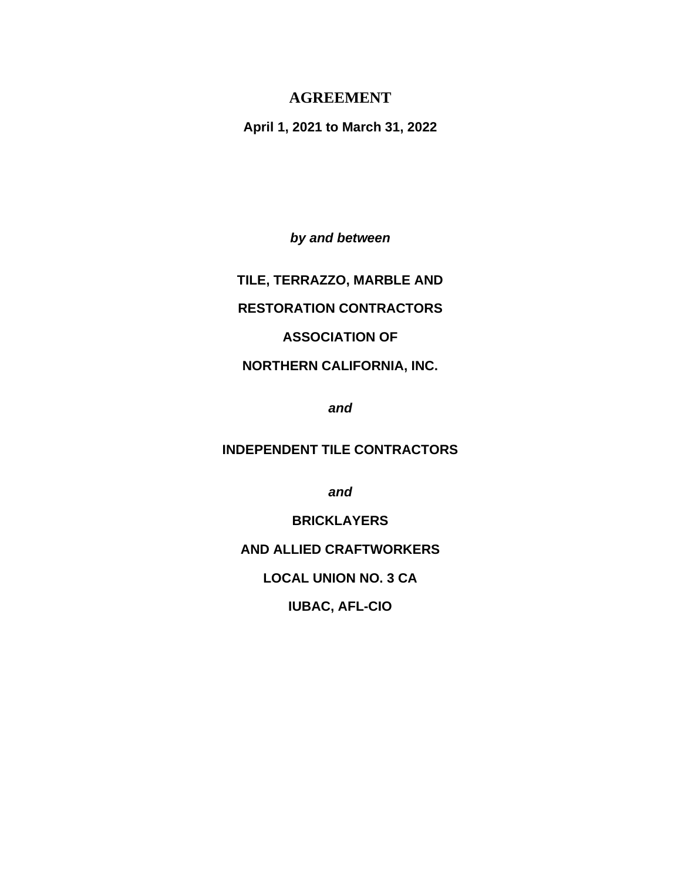# **AGREEMENT**

**April 1, 2021 to March 31, 2022**

*by and between*

**TILE, TERRAZZO, MARBLE AND**

**RESTORATION CONTRACTORS**

# **ASSOCIATION OF**

# **NORTHERN CALIFORNIA, INC.**

*and*

**INDEPENDENT TILE CONTRACTORS**

*and*

**BRICKLAYERS**

**AND ALLIED CRAFTWORKERS**

**LOCAL UNION NO. 3 CA**

**IUBAC, AFL-CIO**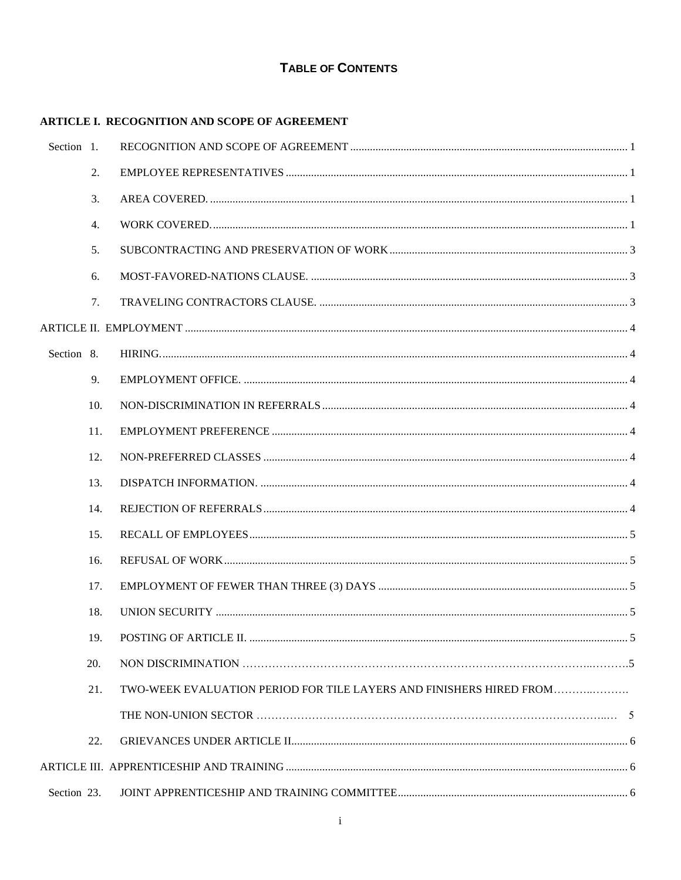## ARTICLE I. RECOGNITION AND SCOPE OF AGREEMENT

| Section 1.  |     |                                                                     |  |
|-------------|-----|---------------------------------------------------------------------|--|
|             | 2.  |                                                                     |  |
|             | 3.  |                                                                     |  |
|             | 4.  |                                                                     |  |
|             | 5.  |                                                                     |  |
|             | 6.  |                                                                     |  |
|             | 7.  |                                                                     |  |
|             |     |                                                                     |  |
| Section 8.  |     |                                                                     |  |
|             | 9.  |                                                                     |  |
|             | 10. |                                                                     |  |
|             | 11. |                                                                     |  |
|             | 12. |                                                                     |  |
|             | 13. |                                                                     |  |
|             | 14. |                                                                     |  |
|             | 15. |                                                                     |  |
|             | 16. |                                                                     |  |
|             | 17. |                                                                     |  |
|             | 18. |                                                                     |  |
|             | 19. |                                                                     |  |
|             | 20. |                                                                     |  |
|             | 21. | TWO-WEEK EVALUATION PERIOD FOR TILE LAYERS AND FINISHERS HIRED FROM |  |
|             |     |                                                                     |  |
|             | 22. |                                                                     |  |
|             |     |                                                                     |  |
| Section 23. |     |                                                                     |  |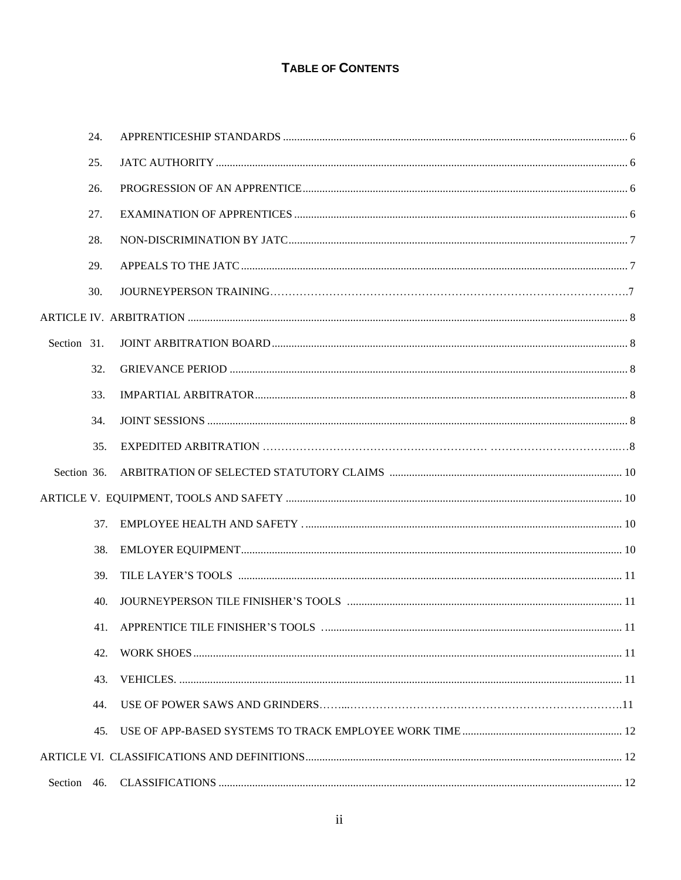| 24.         |  |
|-------------|--|
| 25.         |  |
| 26.         |  |
| 27.         |  |
| 28.         |  |
| 29.         |  |
| 30.         |  |
|             |  |
| Section 31. |  |
| 32.         |  |
| 33.         |  |
| 34.         |  |
| 35.         |  |
| Section 36. |  |
|             |  |
|             |  |
| 38.         |  |
| 39.         |  |
| 40.         |  |
|             |  |
| 42.         |  |
| 43.         |  |
| 44.         |  |
| 45.         |  |
|             |  |
|             |  |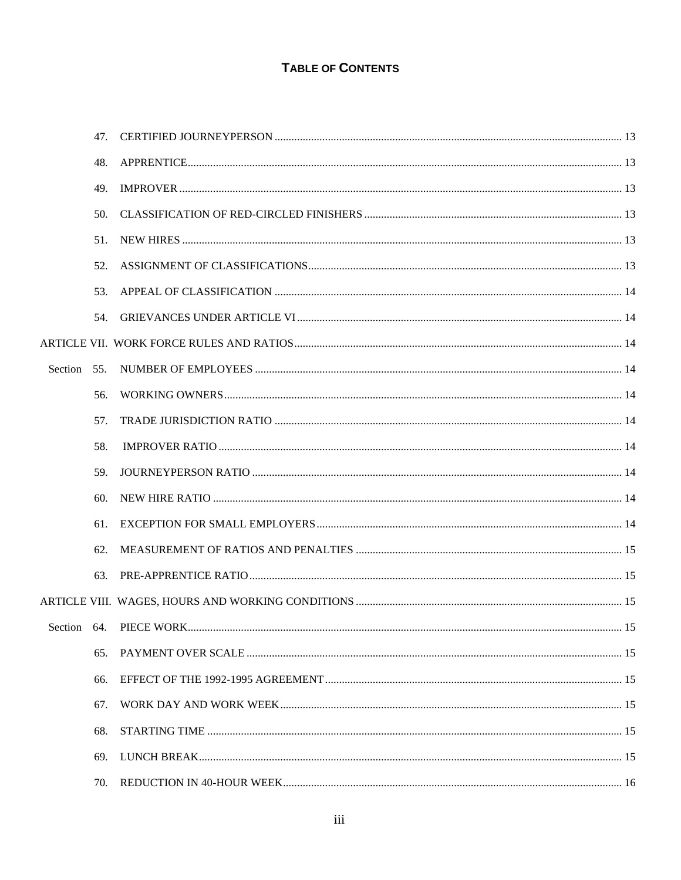|             | 47. |  |
|-------------|-----|--|
|             | 48. |  |
|             | 49. |  |
|             | 50. |  |
|             | 51. |  |
|             | 52. |  |
|             | 53. |  |
|             | 54. |  |
|             |     |  |
| Section 55. |     |  |
|             | 56. |  |
|             | 57. |  |
|             | 58. |  |
|             | 59. |  |
|             | 60. |  |
|             | 61. |  |
|             | 62. |  |
|             | 63. |  |
|             |     |  |
|             |     |  |
|             | 65. |  |
|             | 66. |  |
|             | 67. |  |
|             | 68. |  |
|             | 69. |  |
|             | 70. |  |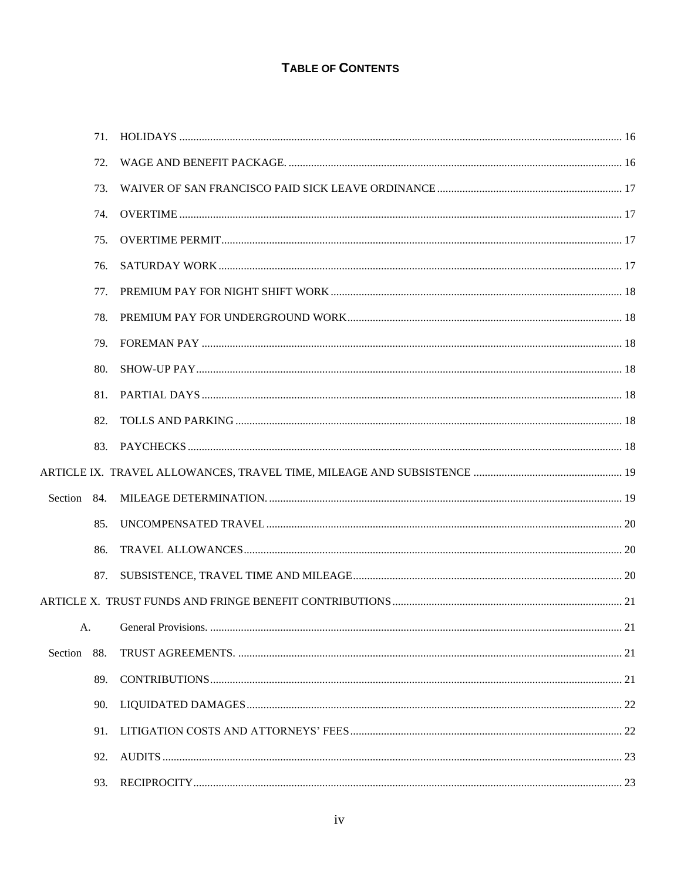|             | 72. |  |
|-------------|-----|--|
|             | 73. |  |
|             | 74. |  |
|             | 75. |  |
|             | 76. |  |
|             | 77. |  |
|             | 78. |  |
|             | 79. |  |
|             | 80. |  |
|             | 81. |  |
|             | 82. |  |
|             | 83. |  |
|             |     |  |
| Section 84. |     |  |
|             | 85. |  |
|             | 86. |  |
|             | 87. |  |
|             |     |  |
|             |     |  |
| Section     | 88. |  |
|             | 89. |  |
|             | 90. |  |
|             | 91. |  |
|             | 92. |  |
|             | 93. |  |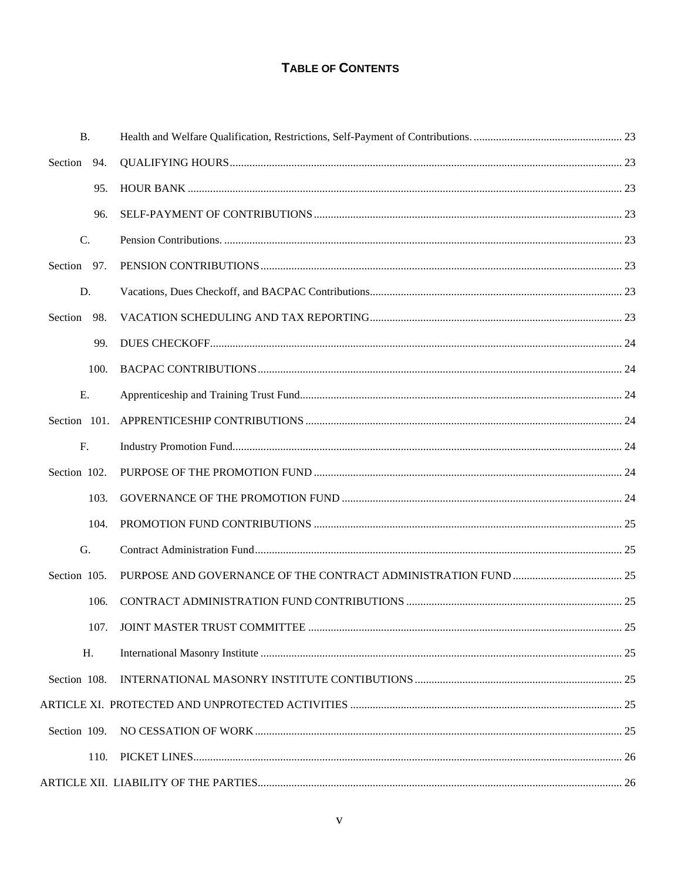| <b>B.</b>      |  |
|----------------|--|
| Section<br>94. |  |
| 95.            |  |
| 96.            |  |
| C.             |  |
| Section 97.    |  |
| D.             |  |
| Section 98.    |  |
| 99.            |  |
| 100.           |  |
| E.             |  |
| Section 101.   |  |
| F.             |  |
| Section 102.   |  |
| 103.           |  |
| 104.           |  |
| G.             |  |
| Section 105.   |  |
| 106.           |  |
| 107.           |  |
| H.             |  |
| Section 108.   |  |
|                |  |
| Section 109.   |  |
| 110.           |  |
|                |  |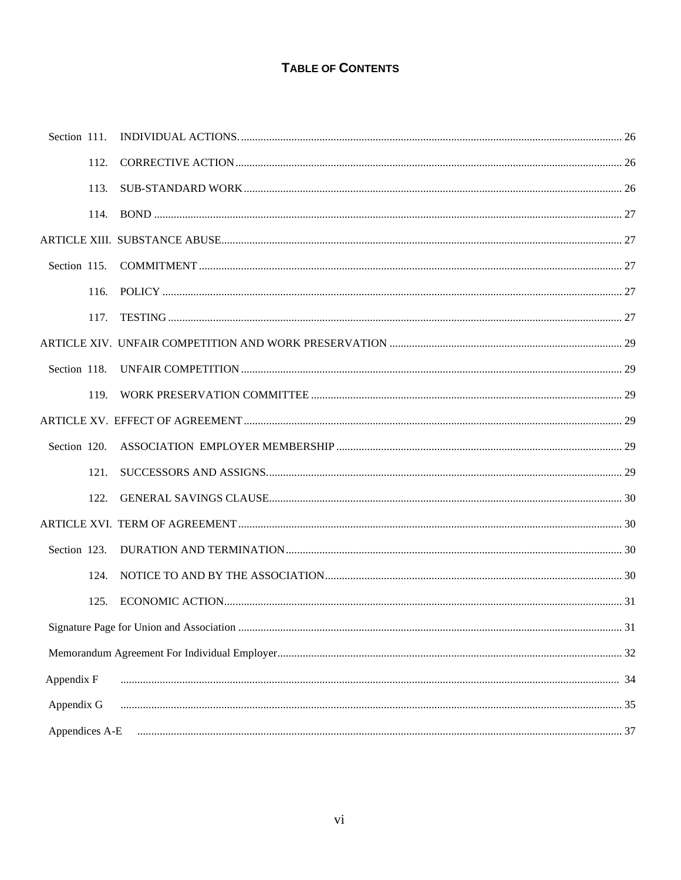| Section 111.   |  |
|----------------|--|
| 112.           |  |
| 113.           |  |
|                |  |
|                |  |
| Section 115.   |  |
| 116.           |  |
| 117.           |  |
|                |  |
| Section 118.   |  |
|                |  |
|                |  |
| Section 120.   |  |
| 121.           |  |
| 122.           |  |
|                |  |
| Section 123.   |  |
| 124.           |  |
|                |  |
|                |  |
|                |  |
| Appendix F     |  |
| Appendix G     |  |
| Appendices A-E |  |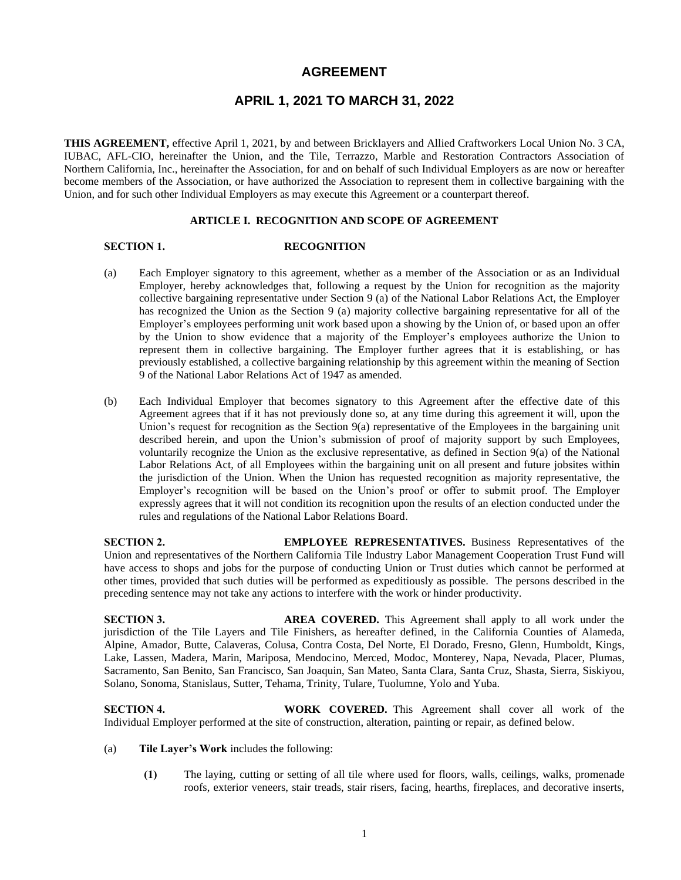## **AGREEMENT**

## **APRIL 1, 2021 TO MARCH 31, 2022**

**THIS AGREEMENT,** effective April 1, 2021, by and between Bricklayers and Allied Craftworkers Local Union No. 3 CA, IUBAC, AFL-CIO, hereinafter the Union, and the Tile, Terrazzo, Marble and Restoration Contractors Association of Northern California, Inc., hereinafter the Association, for and on behalf of such Individual Employers as are now or hereafter become members of the Association, or have authorized the Association to represent them in collective bargaining with the Union, and for such other Individual Employers as may execute this Agreement or a counterpart thereof.

## **ARTICLE I. RECOGNITION AND SCOPE OF AGREEMENT**

### **SECTION 1. RECOGNITION**

- (a) Each Employer signatory to this agreement, whether as a member of the Association or as an Individual Employer, hereby acknowledges that, following a request by the Union for recognition as the majority collective bargaining representative under Section 9 (a) of the National Labor Relations Act, the Employer has recognized the Union as the Section 9 (a) majority collective bargaining representative for all of the Employer's employees performing unit work based upon a showing by the Union of, or based upon an offer by the Union to show evidence that a majority of the Employer's employees authorize the Union to represent them in collective bargaining. The Employer further agrees that it is establishing, or has previously established, a collective bargaining relationship by this agreement within the meaning of Section 9 of the National Labor Relations Act of 1947 as amended.
- (b) Each Individual Employer that becomes signatory to this Agreement after the effective date of this Agreement agrees that if it has not previously done so, at any time during this agreement it will, upon the Union's request for recognition as the Section 9(a) representative of the Employees in the bargaining unit described herein, and upon the Union's submission of proof of majority support by such Employees, voluntarily recognize the Union as the exclusive representative, as defined in Section 9(a) of the National Labor Relations Act, of all Employees within the bargaining unit on all present and future jobsites within the jurisdiction of the Union. When the Union has requested recognition as majority representative, the Employer's recognition will be based on the Union's proof or offer to submit proof. The Employer expressly agrees that it will not condition its recognition upon the results of an election conducted under the rules and regulations of the National Labor Relations Board.

**SECTION 2. EMPLOYEE REPRESENTATIVES.** Business Representatives of the Union and representatives of the Northern California Tile Industry Labor Management Cooperation Trust Fund will have access to shops and jobs for the purpose of conducting Union or Trust duties which cannot be performed at other times, provided that such duties will be performed as expeditiously as possible. The persons described in the preceding sentence may not take any actions to interfere with the work or hinder productivity.

**SECTION 3. AREA COVERED.** This Agreement shall apply to all work under the jurisdiction of the Tile Layers and Tile Finishers, as hereafter defined, in the California Counties of Alameda, Alpine, Amador, Butte, Calaveras, Colusa, Contra Costa, Del Norte, El Dorado, Fresno, Glenn, Humboldt, Kings, Lake, Lassen, Madera, Marin, Mariposa, Mendocino, Merced, Modoc, Monterey, Napa, Nevada, Placer, Plumas, Sacramento, San Benito, San Francisco, San Joaquin, San Mateo, Santa Clara, Santa Cruz, Shasta, Sierra, Siskiyou, Solano, Sonoma, Stanislaus, Sutter, Tehama, Trinity, Tulare, Tuolumne, Yolo and Yuba.

**SECTION 4. WORK COVERED.** This Agreement shall cover all work of the Individual Employer performed at the site of construction, alteration, painting or repair, as defined below.

- (a) **Tile Layer's Work** includes the following:
	- **(1)** The laying, cutting or setting of all tile where used for floors, walls, ceilings, walks, promenade roofs, exterior veneers, stair treads, stair risers, facing, hearths, fireplaces, and decorative inserts,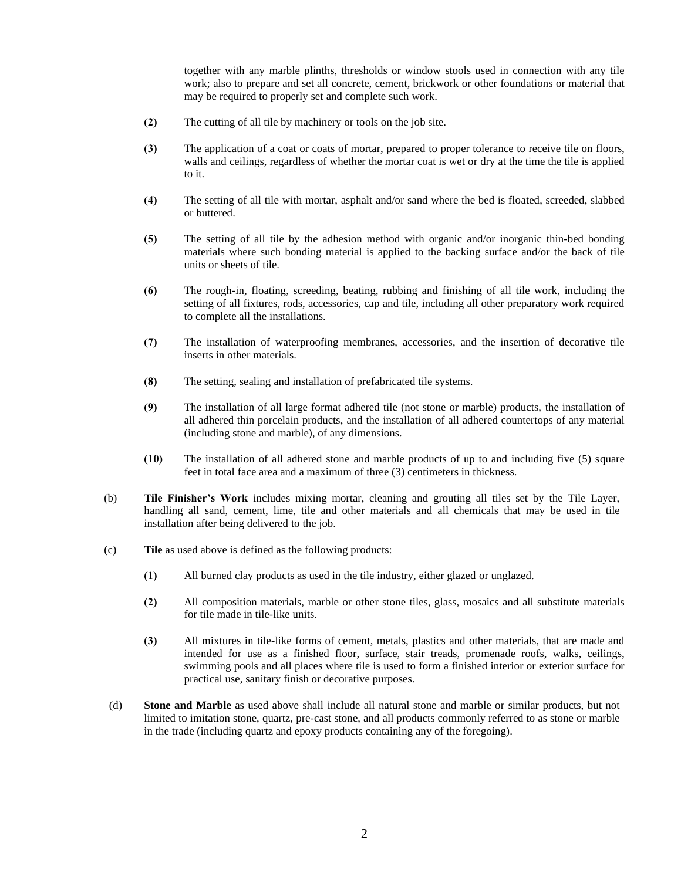together with any marble plinths, thresholds or window stools used in connection with any tile work; also to prepare and set all concrete, cement, brickwork or other foundations or material that may be required to properly set and complete such work.

- **(2)** The cutting of all tile by machinery or tools on the job site.
- **(3)** The application of a coat or coats of mortar, prepared to proper tolerance to receive tile on floors, walls and ceilings, regardless of whether the mortar coat is wet or dry at the time the tile is applied to it.
- **(4)** The setting of all tile with mortar, asphalt and/or sand where the bed is floated, screeded, slabbed or buttered.
- **(5)** The setting of all tile by the adhesion method with organic and/or inorganic thin-bed bonding materials where such bonding material is applied to the backing surface and/or the back of tile units or sheets of tile.
- **(6)** The rough-in, floating, screeding, beating, rubbing and finishing of all tile work, including the setting of all fixtures, rods, accessories, cap and tile, including all other preparatory work required to complete all the installations.
- **(7)** The installation of waterproofing membranes, accessories, and the insertion of decorative tile inserts in other materials.
- **(8)** The setting, sealing and installation of prefabricated tile systems.
- **(9)** The installation of all large format adhered tile (not stone or marble) products, the installation of all adhered thin porcelain products, and the installation of all adhered countertops of any material (including stone and marble), of any dimensions.
- **(10)** The installation of all adhered stone and marble products of up to and including five (5) square feet in total face area and a maximum of three (3) centimeters in thickness.
- (b) **Tile Finisher's Work** includes mixing mortar, cleaning and grouting all tiles set by the Tile Layer, handling all sand, cement, lime, tile and other materials and all chemicals that may be used in tile installation after being delivered to the job.
- (c) **Tile** as used above is defined as the following products:
	- **(1)** All burned clay products as used in the tile industry, either glazed or unglazed.
	- **(2)** All composition materials, marble or other stone tiles, glass, mosaics and all substitute materials for tile made in tile-like units.
	- **(3)** All mixtures in tile-like forms of cement, metals, plastics and other materials, that are made and intended for use as a finished floor, surface, stair treads, promenade roofs, walks, ceilings, swimming pools and all places where tile is used to form a finished interior or exterior surface for practical use, sanitary finish or decorative purposes.
- (d) **Stone and Marble** as used above shall include all natural stone and marble or similar products, but not limited to imitation stone, quartz, pre-cast stone, and all products commonly referred to as stone or marble in the trade (including quartz and epoxy products containing any of the foregoing).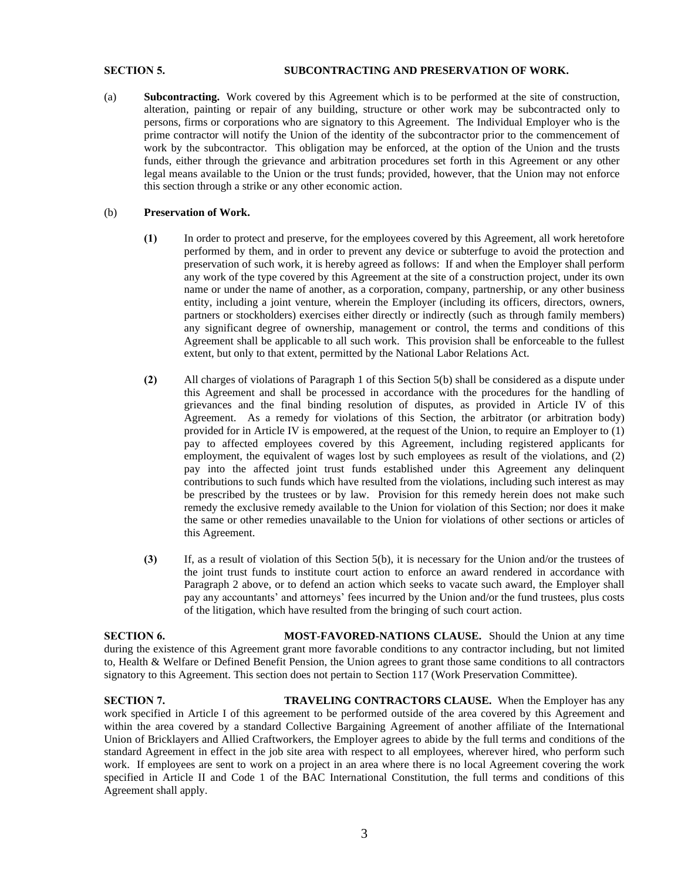**SECTION 5. SUBCONTRACTING AND PRESERVATION OF WORK.**

(a) **Subcontracting.** Work covered by this Agreement which is to be performed at the site of construction, alteration, painting or repair of any building, structure or other work may be subcontracted only to persons, firms or corporations who are signatory to this Agreement. The Individual Employer who is the prime contractor will notify the Union of the identity of the subcontractor prior to the commencement of work by the subcontractor. This obligation may be enforced, at the option of the Union and the trusts funds, either through the grievance and arbitration procedures set forth in this Agreement or any other legal means available to the Union or the trust funds; provided, however, that the Union may not enforce this section through a strike or any other economic action.

## (b) **Preservation of Work.**

- **(1)** In order to protect and preserve, for the employees covered by this Agreement, all work heretofore performed by them, and in order to prevent any device or subterfuge to avoid the protection and preservation of such work, it is hereby agreed as follows: If and when the Employer shall perform any work of the type covered by this Agreement at the site of a construction project, under its own name or under the name of another, as a corporation, company, partnership, or any other business entity, including a joint venture, wherein the Employer (including its officers, directors, owners, partners or stockholders) exercises either directly or indirectly (such as through family members) any significant degree of ownership, management or control, the terms and conditions of this Agreement shall be applicable to all such work. This provision shall be enforceable to the fullest extent, but only to that extent, permitted by the National Labor Relations Act.
- **(2)** All charges of violations of Paragraph 1 of this Section 5(b) shall be considered as a dispute under this Agreement and shall be processed in accordance with the procedures for the handling of grievances and the final binding resolution of disputes, as provided in Article IV of this Agreement. As a remedy for violations of this Section, the arbitrator (or arbitration body) provided for in Article IV is empowered, at the request of the Union, to require an Employer to (1) pay to affected employees covered by this Agreement, including registered applicants for employment, the equivalent of wages lost by such employees as result of the violations, and (2) pay into the affected joint trust funds established under this Agreement any delinquent contributions to such funds which have resulted from the violations, including such interest as may be prescribed by the trustees or by law. Provision for this remedy herein does not make such remedy the exclusive remedy available to the Union for violation of this Section; nor does it make the same or other remedies unavailable to the Union for violations of other sections or articles of this Agreement.
- **(3)** If, as a result of violation of this Section 5(b), it is necessary for the Union and/or the trustees of the joint trust funds to institute court action to enforce an award rendered in accordance with Paragraph 2 above, or to defend an action which seeks to vacate such award, the Employer shall pay any accountants' and attorneys' fees incurred by the Union and/or the fund trustees, plus costs of the litigation, which have resulted from the bringing of such court action.

**SECTION 6. MOST-FAVORED-NATIONS CLAUSE.** Should the Union at any time during the existence of this Agreement grant more favorable conditions to any contractor including, but not limited to, Health & Welfare or Defined Benefit Pension, the Union agrees to grant those same conditions to all contractors signatory to this Agreement. This section does not pertain to Section 117 (Work Preservation Committee).

**SECTION 7. TRAVELING CONTRACTORS CLAUSE.** When the Employer has any work specified in Article I of this agreement to be performed outside of the area covered by this Agreement and within the area covered by a standard Collective Bargaining Agreement of another affiliate of the International Union of Bricklayers and Allied Craftworkers, the Employer agrees to abide by the full terms and conditions of the standard Agreement in effect in the job site area with respect to all employees, wherever hired, who perform such work. If employees are sent to work on a project in an area where there is no local Agreement covering the work specified in Article II and Code 1 of the BAC International Constitution, the full terms and conditions of this Agreement shall apply.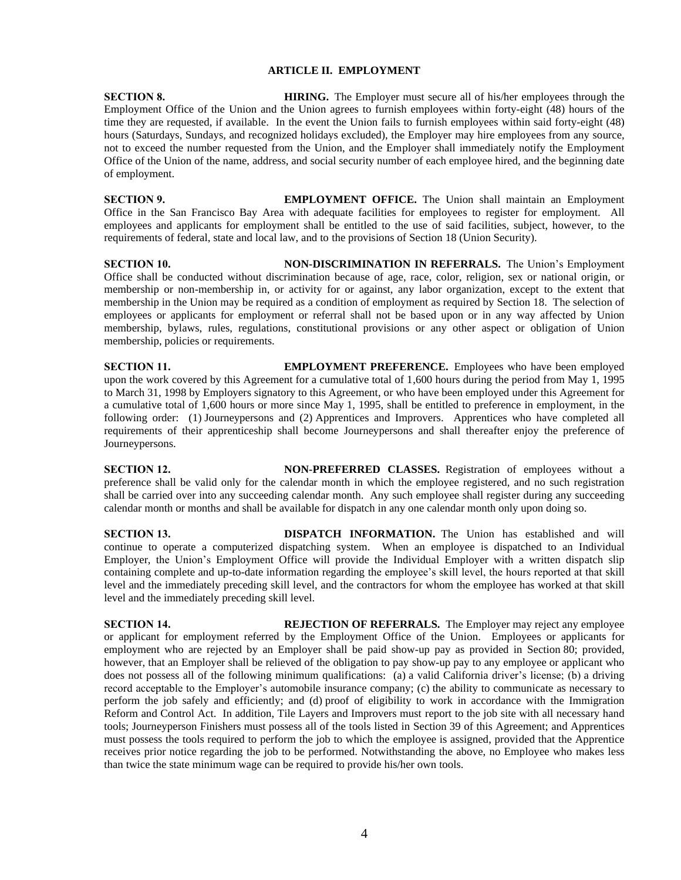## **ARTICLE II. EMPLOYMENT**

## **SECTION 8. HIRING.** The Employer must secure all of his/her employees through the Employment Office of the Union and the Union agrees to furnish employees within forty-eight (48) hours of the time they are requested, if available. In the event the Union fails to furnish employees within said forty-eight (48) hours (Saturdays, Sundays, and recognized holidays excluded), the Employer may hire employees from any source, not to exceed the number requested from the Union, and the Employer shall immediately notify the Employment Office of the Union of the name, address, and social security number of each employee hired, and the beginning date of employment.

**SECTION 9. EMPLOYMENT OFFICE.** The Union shall maintain an Employment Office in the San Francisco Bay Area with adequate facilities for employees to register for employment. All employees and applicants for employment shall be entitled to the use of said facilities, subject, however, to the requirements of federal, state and local law, and to the provisions of Section 18 (Union Security).

**SECTION 10. NON-DISCRIMINATION IN REFERRALS.** The Union's Employment Office shall be conducted without discrimination because of age, race, color, religion, sex or national origin, or membership or non-membership in, or activity for or against, any labor organization, except to the extent that membership in the Union may be required as a condition of employment as required by Section 18. The selection of employees or applicants for employment or referral shall not be based upon or in any way affected by Union membership, bylaws, rules, regulations, constitutional provisions or any other aspect or obligation of Union membership, policies or requirements.

**SECTION 11. EMPLOYMENT PREFERENCE.** Employees who have been employed upon the work covered by this Agreement for a cumulative total of 1,600 hours during the period from May 1, 1995 to March 31, 1998 by Employers signatory to this Agreement, or who have been employed under this Agreement for a cumulative total of 1,600 hours or more since May 1, 1995, shall be entitled to preference in employment, in the following order: (1) Journeypersons and (2) Apprentices and Improvers. Apprentices who have completed all requirements of their apprenticeship shall become Journeypersons and shall thereafter enjoy the preference of Journeypersons.

**SECTION 12. NON-PREFERRED CLASSES.** Registration of employees without a preference shall be valid only for the calendar month in which the employee registered, and no such registration shall be carried over into any succeeding calendar month. Any such employee shall register during any succeeding calendar month or months and shall be available for dispatch in any one calendar month only upon doing so.

**SECTION 13. DISPATCH INFORMATION.** The Union has established and will continue to operate a computerized dispatching system. When an employee is dispatched to an Individual Employer, the Union's Employment Office will provide the Individual Employer with a written dispatch slip containing complete and up-to-date information regarding the employee's skill level, the hours reported at that skill level and the immediately preceding skill level, and the contractors for whom the employee has worked at that skill level and the immediately preceding skill level.

## **SECTION 14. REJECTION OF REFERRALS.** The Employer may reject any employee or applicant for employment referred by the Employment Office of the Union. Employees or applicants for employment who are rejected by an Employer shall be paid show-up pay as provided in Section 80; provided, however, that an Employer shall be relieved of the obligation to pay show-up pay to any employee or applicant who does not possess all of the following minimum qualifications: (a) a valid California driver's license; (b) a driving record acceptable to the Employer's automobile insurance company; (c) the ability to communicate as necessary to perform the job safely and efficiently; and (d) proof of eligibility to work in accordance with the Immigration Reform and Control Act. In addition, Tile Layers and Improvers must report to the job site with all necessary hand tools; Journeyperson Finishers must possess all of the tools listed in Section 39 of this Agreement; and Apprentices must possess the tools required to perform the job to which the employee is assigned, provided that the Apprentice receives prior notice regarding the job to be performed. Notwithstanding the above, no Employee who makes less than twice the state minimum wage can be required to provide his/her own tools.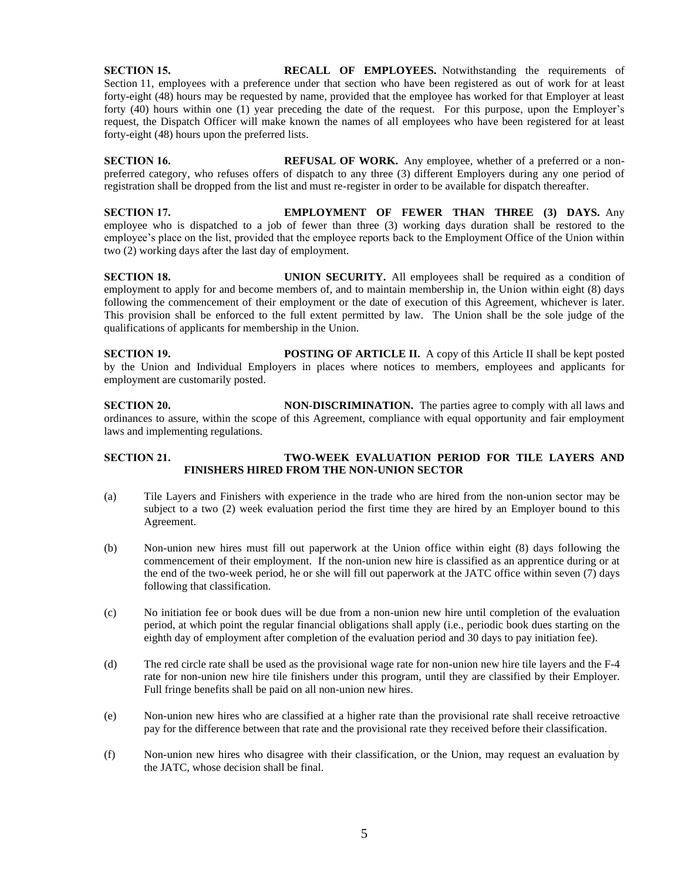**SECTION 15. RECALL OF EMPLOYEES.** Notwithstanding the requirements of Section 11, employees with a preference under that section who have been registered as out of work for at least forty-eight (48) hours may be requested by name, provided that the employee has worked for that Employer at least forty (40) hours within one (1) year preceding the date of the request. For this purpose, upon the Employer's request, the Dispatch Officer will make known the names of all employees who have been registered for at least forty-eight (48) hours upon the preferred lists.

**SECTION 16. REFUSAL OF WORK.** Any employee, whether of a preferred or a nonpreferred category, who refuses offers of dispatch to any three (3) different Employers during any one period of registration shall be dropped from the list and must re-register in order to be available for dispatch thereafter.

**SECTION 17. EMPLOYMENT OF FEWER THAN THREE (3) DAYS.** Any employee who is dispatched to a job of fewer than three (3) working days duration shall be restored to the employee's place on the list, provided that the employee reports back to the Employment Office of the Union within two (2) working days after the last day of employment.

**SECTION 18. UNION SECURITY.** All employees shall be required as a condition of employment to apply for and become members of, and to maintain membership in, the Union within eight (8) days following the commencement of their employment or the date of execution of this Agreement, whichever is later. This provision shall be enforced to the full extent permitted by law. The Union shall be the sole judge of the qualifications of applicants for membership in the Union.

**SECTION 19. POSTING OF ARTICLE II.** A copy of this Article II shall be kept posted by the Union and Individual Employers in places where notices to members, employees and applicants for employment are customarily posted.

**SECTION 20. NON-DISCRIMINATION.** The parties agree to comply with all laws and ordinances to assure, within the scope of this Agreement, compliance with equal opportunity and fair employment laws and implementing regulations.

## **SECTION 21. TWO-WEEK EVALUATION PERIOD FOR TILE LAYERS AND FINISHERS HIRED FROM THE NON-UNION SECTOR**

- (a) Tile Layers and Finishers with experience in the trade who are hired from the non-union sector may be subject to a two (2) week evaluation period the first time they are hired by an Employer bound to this Agreement.
- (b) Non-union new hires must fill out paperwork at the Union office within eight (8) days following the commencement of their employment. If the non-union new hire is classified as an apprentice during or at the end of the two-week period, he or she will fill out paperwork at the JATC office within seven (7) days following that classification.
- (c) No initiation fee or book dues will be due from a non-union new hire until completion of the evaluation period, at which point the regular financial obligations shall apply (i.e., periodic book dues starting on the eighth day of employment after completion of the evaluation period and 30 days to pay initiation fee).
- (d) The red circle rate shall be used as the provisional wage rate for non-union new hire tile layers and the F-4 rate for non-union new hire tile finishers under this program, until they are classified by their Employer. Full fringe benefits shall be paid on all non-union new hires.
- (e) Non-union new hires who are classified at a higher rate than the provisional rate shall receive retroactive pay for the difference between that rate and the provisional rate they received before their classification.
- (f) Non-union new hires who disagree with their classification, or the Union, may request an evaluation by the JATC, whose decision shall be final.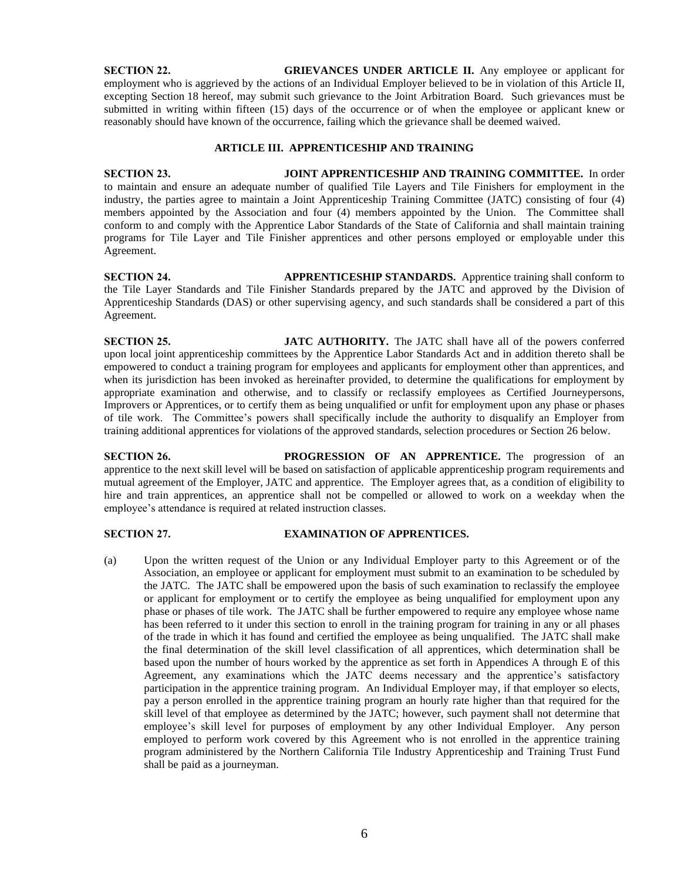**SECTION 22. GRIEVANCES UNDER ARTICLE II.** Any employee or applicant for employment who is aggrieved by the actions of an Individual Employer believed to be in violation of this Article II, excepting Section 18 hereof, may submit such grievance to the Joint Arbitration Board. Such grievances must be submitted in writing within fifteen (15) days of the occurrence or of when the employee or applicant knew or reasonably should have known of the occurrence, failing which the grievance shall be deemed waived.

## **ARTICLE III. APPRENTICESHIP AND TRAINING**

**SECTION 23. JOINT APPRENTICESHIP AND TRAINING COMMITTEE.** In order to maintain and ensure an adequate number of qualified Tile Layers and Tile Finishers for employment in the industry, the parties agree to maintain a Joint Apprenticeship Training Committee (JATC) consisting of four (4) members appointed by the Association and four (4) members appointed by the Union. The Committee shall conform to and comply with the Apprentice Labor Standards of the State of California and shall maintain training programs for Tile Layer and Tile Finisher apprentices and other persons employed or employable under this Agreement.

**SECTION 24. APPRENTICESHIP STANDARDS.** Apprentice training shall conform to the Tile Layer Standards and Tile Finisher Standards prepared by the JATC and approved by the Division of Apprenticeship Standards (DAS) or other supervising agency, and such standards shall be considered a part of this Agreement.

**SECTION 25. JATC AUTHORITY.** The JATC shall have all of the powers conferred upon local joint apprenticeship committees by the Apprentice Labor Standards Act and in addition thereto shall be empowered to conduct a training program for employees and applicants for employment other than apprentices, and when its jurisdiction has been invoked as hereinafter provided, to determine the qualifications for employment by appropriate examination and otherwise, and to classify or reclassify employees as Certified Journeypersons, Improvers or Apprentices, or to certify them as being unqualified or unfit for employment upon any phase or phases of tile work. The Committee's powers shall specifically include the authority to disqualify an Employer from training additional apprentices for violations of the approved standards, selection procedures or Section 26 below.

**SECTION 26. PROGRESSION OF AN APPRENTICE.** The progression of an apprentice to the next skill level will be based on satisfaction of applicable apprenticeship program requirements and mutual agreement of the Employer, JATC and apprentice. The Employer agrees that, as a condition of eligibility to hire and train apprentices, an apprentice shall not be compelled or allowed to work on a weekday when the employee's attendance is required at related instruction classes.

## **SECTION 27. EXAMINATION OF APPRENTICES.**

(a) Upon the written request of the Union or any Individual Employer party to this Agreement or of the Association, an employee or applicant for employment must submit to an examination to be scheduled by the JATC. The JATC shall be empowered upon the basis of such examination to reclassify the employee or applicant for employment or to certify the employee as being unqualified for employment upon any phase or phases of tile work. The JATC shall be further empowered to require any employee whose name has been referred to it under this section to enroll in the training program for training in any or all phases of the trade in which it has found and certified the employee as being unqualified. The JATC shall make the final determination of the skill level classification of all apprentices, which determination shall be based upon the number of hours worked by the apprentice as set forth in Appendices A through E of this Agreement, any examinations which the JATC deems necessary and the apprentice's satisfactory participation in the apprentice training program. An Individual Employer may, if that employer so elects, pay a person enrolled in the apprentice training program an hourly rate higher than that required for the skill level of that employee as determined by the JATC; however, such payment shall not determine that employee's skill level for purposes of employment by any other Individual Employer. Any person employed to perform work covered by this Agreement who is not enrolled in the apprentice training program administered by the Northern California Tile Industry Apprenticeship and Training Trust Fund shall be paid as a journeyman.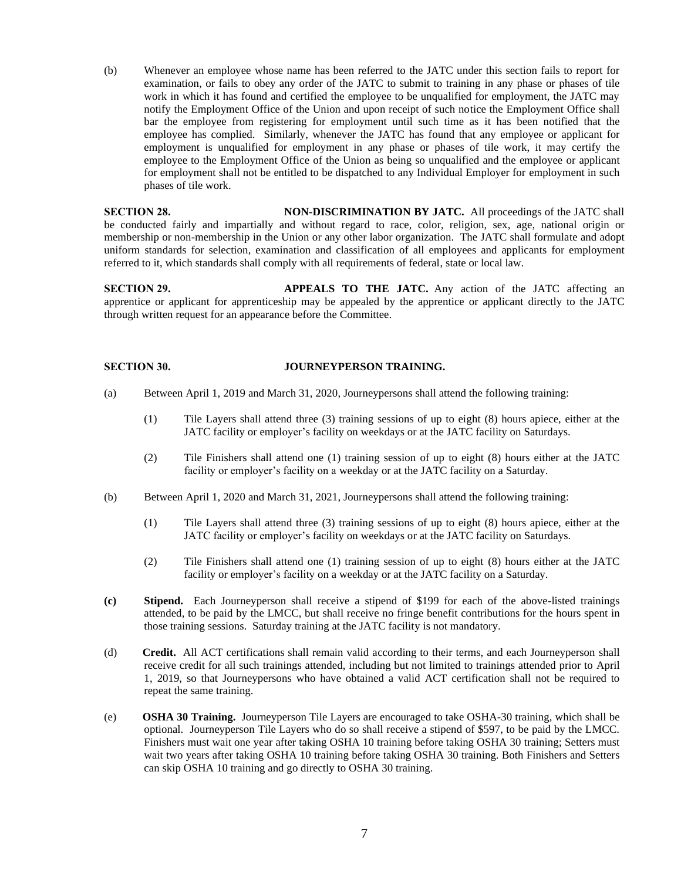(b) Whenever an employee whose name has been referred to the JATC under this section fails to report for examination, or fails to obey any order of the JATC to submit to training in any phase or phases of tile work in which it has found and certified the employee to be unqualified for employment, the JATC may notify the Employment Office of the Union and upon receipt of such notice the Employment Office shall bar the employee from registering for employment until such time as it has been notified that the employee has complied. Similarly, whenever the JATC has found that any employee or applicant for employment is unqualified for employment in any phase or phases of tile work, it may certify the employee to the Employment Office of the Union as being so unqualified and the employee or applicant for employment shall not be entitled to be dispatched to any Individual Employer for employment in such phases of tile work.

**SECTION 28. NON-DISCRIMINATION BY JATC.** All proceedings of the JATC shall be conducted fairly and impartially and without regard to race, color, religion, sex, age, national origin or membership or non-membership in the Union or any other labor organization. The JATC shall formulate and adopt uniform standards for selection, examination and classification of all employees and applicants for employment referred to it, which standards shall comply with all requirements of federal, state or local law.

**SECTION 29. APPEALS TO THE JATC.** Any action of the JATC affecting an apprentice or applicant for apprenticeship may be appealed by the apprentice or applicant directly to the JATC through written request for an appearance before the Committee.

## **SECTION 30. JOURNEYPERSON TRAINING.**

- (a) Between April 1, 2019 and March 31, 2020, Journeypersons shall attend the following training:
	- (1) Tile Layers shall attend three (3) training sessions of up to eight (8) hours apiece, either at the JATC facility or employer's facility on weekdays or at the JATC facility on Saturdays.
	- (2) Tile Finishers shall attend one (1) training session of up to eight (8) hours either at the JATC facility or employer's facility on a weekday or at the JATC facility on a Saturday.
- (b) Between April 1, 2020 and March 31, 2021, Journeypersons shall attend the following training:
	- (1) Tile Layers shall attend three (3) training sessions of up to eight (8) hours apiece, either at the JATC facility or employer's facility on weekdays or at the JATC facility on Saturdays.
	- (2) Tile Finishers shall attend one (1) training session of up to eight (8) hours either at the JATC facility or employer's facility on a weekday or at the JATC facility on a Saturday.
- **(c) Stipend.** Each Journeyperson shall receive a stipend of \$199 for each of the above-listed trainings attended, to be paid by the LMCC, but shall receive no fringe benefit contributions for the hours spent in those training sessions. Saturday training at the JATC facility is not mandatory.
- (d) **Credit.** All ACT certifications shall remain valid according to their terms, and each Journeyperson shall receive credit for all such trainings attended, including but not limited to trainings attended prior to April 1, 2019, so that Journeypersons who have obtained a valid ACT certification shall not be required to repeat the same training.
- (e) **OSHA 30 Training.** Journeyperson Tile Layers are encouraged to take OSHA-30 training, which shall be optional. Journeyperson Tile Layers who do so shall receive a stipend of \$597, to be paid by the LMCC. Finishers must wait one year after taking OSHA 10 training before taking OSHA 30 training; Setters must wait two years after taking OSHA 10 training before taking OSHA 30 training. Both Finishers and Setters can skip OSHA 10 training and go directly to OSHA 30 training.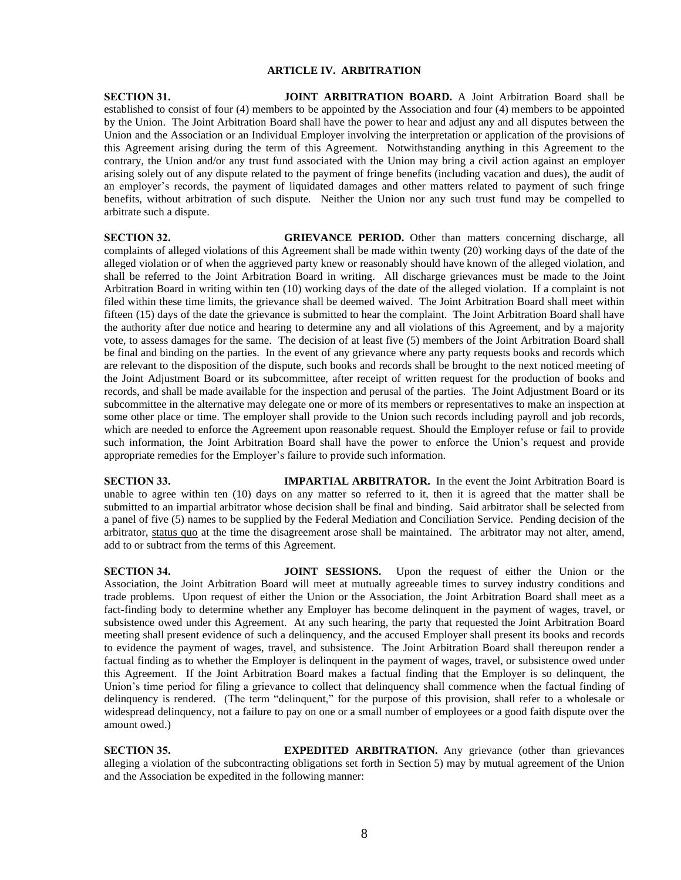### **ARTICLE IV. ARBITRATION**

**SECTION 31. JOINT ARBITRATION BOARD.** A Joint Arbitration Board shall be established to consist of four (4) members to be appointed by the Association and four (4) members to be appointed by the Union. The Joint Arbitration Board shall have the power to hear and adjust any and all disputes between the Union and the Association or an Individual Employer involving the interpretation or application of the provisions of this Agreement arising during the term of this Agreement. Notwithstanding anything in this Agreement to the contrary, the Union and/or any trust fund associated with the Union may bring a civil action against an employer arising solely out of any dispute related to the payment of fringe benefits (including vacation and dues), the audit of an employer's records, the payment of liquidated damages and other matters related to payment of such fringe benefits, without arbitration of such dispute. Neither the Union nor any such trust fund may be compelled to arbitrate such a dispute.

**SECTION 32. GRIEVANCE PERIOD.** Other than matters concerning discharge, all complaints of alleged violations of this Agreement shall be made within twenty (20) working days of the date of the alleged violation or of when the aggrieved party knew or reasonably should have known of the alleged violation, and shall be referred to the Joint Arbitration Board in writing. All discharge grievances must be made to the Joint Arbitration Board in writing within ten (10) working days of the date of the alleged violation. If a complaint is not filed within these time limits, the grievance shall be deemed waived. The Joint Arbitration Board shall meet within fifteen (15) days of the date the grievance is submitted to hear the complaint. The Joint Arbitration Board shall have the authority after due notice and hearing to determine any and all violations of this Agreement, and by a majority vote, to assess damages for the same. The decision of at least five (5) members of the Joint Arbitration Board shall be final and binding on the parties. In the event of any grievance where any party requests books and records which are relevant to the disposition of the dispute, such books and records shall be brought to the next noticed meeting of the Joint Adjustment Board or its subcommittee, after receipt of written request for the production of books and records, and shall be made available for the inspection and perusal of the parties. The Joint Adjustment Board or its subcommittee in the alternative may delegate one or more of its members or representatives to make an inspection at some other place or time. The employer shall provide to the Union such records including payroll and job records, which are needed to enforce the Agreement upon reasonable request. Should the Employer refuse or fail to provide such information, the Joint Arbitration Board shall have the power to enforce the Union's request and provide appropriate remedies for the Employer's failure to provide such information.

**SECTION 33. IMPARTIAL ARBITRATOR.** In the event the Joint Arbitration Board is unable to agree within ten (10) days on any matter so referred to it, then it is agreed that the matter shall be submitted to an impartial arbitrator whose decision shall be final and binding. Said arbitrator shall be selected from a panel of five (5) names to be supplied by the Federal Mediation and Conciliation Service. Pending decision of the arbitrator, status quo at the time the disagreement arose shall be maintained. The arbitrator may not alter, amend, add to or subtract from the terms of this Agreement.

**SECTION 34. JOINT SESSIONS.** Upon the request of either the Union or the Association, the Joint Arbitration Board will meet at mutually agreeable times to survey industry conditions and trade problems. Upon request of either the Union or the Association, the Joint Arbitration Board shall meet as a fact-finding body to determine whether any Employer has become delinquent in the payment of wages, travel, or subsistence owed under this Agreement. At any such hearing, the party that requested the Joint Arbitration Board meeting shall present evidence of such a delinquency, and the accused Employer shall present its books and records to evidence the payment of wages, travel, and subsistence. The Joint Arbitration Board shall thereupon render a factual finding as to whether the Employer is delinquent in the payment of wages, travel, or subsistence owed under this Agreement. If the Joint Arbitration Board makes a factual finding that the Employer is so delinquent, the Union's time period for filing a grievance to collect that delinquency shall commence when the factual finding of delinquency is rendered. (The term "delinquent," for the purpose of this provision, shall refer to a wholesale or widespread delinquency, not a failure to pay on one or a small number of employees or a good faith dispute over the amount owed.)

**SECTION 35. EXPEDITED ARBITRATION.** Any grievance (other than grievances alleging a violation of the subcontracting obligations set forth in Section 5) may by mutual agreement of the Union and the Association be expedited in the following manner: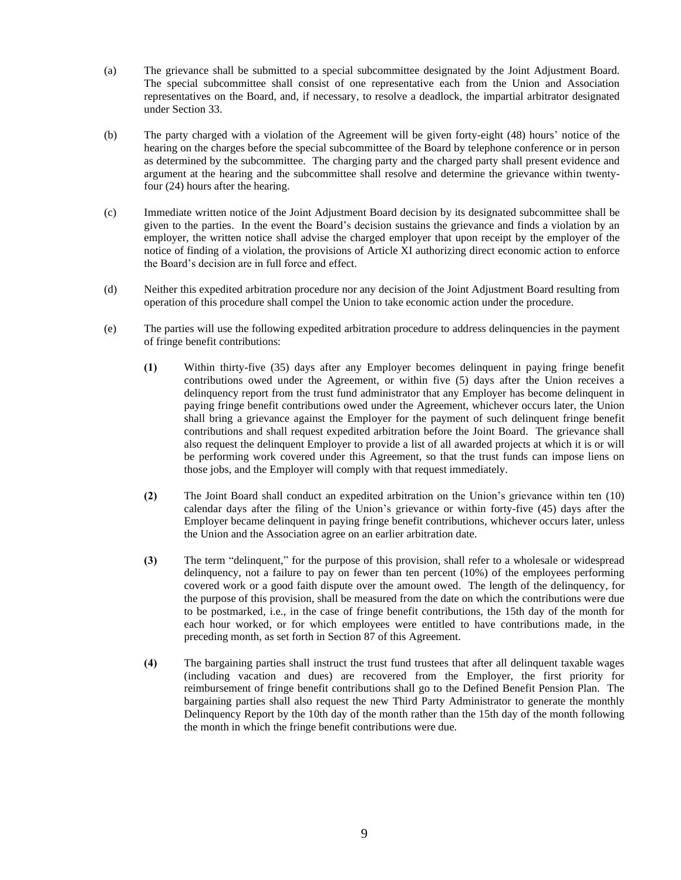- (a) The grievance shall be submitted to a special subcommittee designated by the Joint Adjustment Board. The special subcommittee shall consist of one representative each from the Union and Association representatives on the Board, and, if necessary, to resolve a deadlock, the impartial arbitrator designated under Section 33.
- (b) The party charged with a violation of the Agreement will be given forty-eight (48) hours' notice of the hearing on the charges before the special subcommittee of the Board by telephone conference or in person as determined by the subcommittee. The charging party and the charged party shall present evidence and argument at the hearing and the subcommittee shall resolve and determine the grievance within twentyfour (24) hours after the hearing.
- (c) Immediate written notice of the Joint Adjustment Board decision by its designated subcommittee shall be given to the parties. In the event the Board's decision sustains the grievance and finds a violation by an employer, the written notice shall advise the charged employer that upon receipt by the employer of the notice of finding of a violation, the provisions of Article XI authorizing direct economic action to enforce the Board's decision are in full force and effect.
- (d) Neither this expedited arbitration procedure nor any decision of the Joint Adjustment Board resulting from operation of this procedure shall compel the Union to take economic action under the procedure.
- (e) The parties will use the following expedited arbitration procedure to address delinquencies in the payment of fringe benefit contributions:
	- **(1)** Within thirty-five (35) days after any Employer becomes delinquent in paying fringe benefit contributions owed under the Agreement, or within five (5) days after the Union receives a delinquency report from the trust fund administrator that any Employer has become delinquent in paying fringe benefit contributions owed under the Agreement, whichever occurs later, the Union shall bring a grievance against the Employer for the payment of such delinquent fringe benefit contributions and shall request expedited arbitration before the Joint Board. The grievance shall also request the delinquent Employer to provide a list of all awarded projects at which it is or will be performing work covered under this Agreement, so that the trust funds can impose liens on those jobs, and the Employer will comply with that request immediately.
	- **(2)** The Joint Board shall conduct an expedited arbitration on the Union's grievance within ten (10) calendar days after the filing of the Union's grievance or within forty-five (45) days after the Employer became delinquent in paying fringe benefit contributions, whichever occurs later, unless the Union and the Association agree on an earlier arbitration date.
	- **(3)** The term "delinquent," for the purpose of this provision, shall refer to a wholesale or widespread delinquency, not a failure to pay on fewer than ten percent (10%) of the employees performing covered work or a good faith dispute over the amount owed. The length of the delinquency, for the purpose of this provision, shall be measured from the date on which the contributions were due to be postmarked, i.e., in the case of fringe benefit contributions, the 15th day of the month for each hour worked, or for which employees were entitled to have contributions made, in the preceding month, as set forth in Section 87 of this Agreement.
	- **(4)** The bargaining parties shall instruct the trust fund trustees that after all delinquent taxable wages (including vacation and dues) are recovered from the Employer, the first priority for reimbursement of fringe benefit contributions shall go to the Defined Benefit Pension Plan. The bargaining parties shall also request the new Third Party Administrator to generate the monthly Delinquency Report by the 10th day of the month rather than the 15th day of the month following the month in which the fringe benefit contributions were due.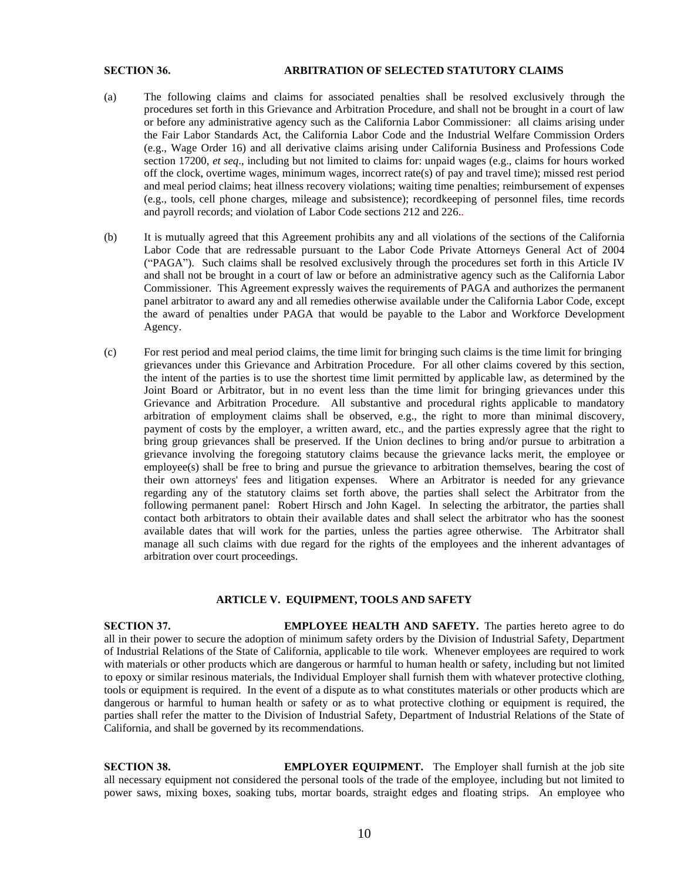### **SECTION 36. ARBITRATION OF SELECTED STATUTORY CLAIMS**

- (a) The following claims and claims for associated penalties shall be resolved exclusively through the procedures set forth in this Grievance and Arbitration Procedure, and shall not be brought in a court of law or before any administrative agency such as the California Labor Commissioner: all claims arising under the Fair Labor Standards Act, the California Labor Code and the Industrial Welfare Commission Orders (e.g., Wage Order 16) and all derivative claims arising under California Business and Professions Code section 17200, *et seq*., including but not limited to claims for: unpaid wages (e.g., claims for hours worked off the clock, overtime wages, minimum wages, incorrect rate(s) of pay and travel time); missed rest period and meal period claims; heat illness recovery violations; waiting time penalties; reimbursement of expenses (e.g., tools, cell phone charges, mileage and subsistence); recordkeeping of personnel files, time records and payroll records; and violation of Labor Code sections 212 and 226..
- (b) It is mutually agreed that this Agreement prohibits any and all violations of the sections of the California Labor Code that are redressable pursuant to the Labor Code Private Attorneys General Act of 2004 ("PAGA"). Such claims shall be resolved exclusively through the procedures set forth in this Article IV and shall not be brought in a court of law or before an administrative agency such as the California Labor Commissioner. This Agreement expressly waives the requirements of PAGA and authorizes the permanent panel arbitrator to award any and all remedies otherwise available under the California Labor Code, except the award of penalties under PAGA that would be payable to the Labor and Workforce Development Agency.
- (c) For rest period and meal period claims, the time limit for bringing such claims is the time limit for bringing grievances under this Grievance and Arbitration Procedure. For all other claims covered by this section, the intent of the parties is to use the shortest time limit permitted by applicable law, as determined by the Joint Board or Arbitrator, but in no event less than the time limit for bringing grievances under this Grievance and Arbitration Procedure. All substantive and procedural rights applicable to mandatory arbitration of employment claims shall be observed, e.g., the right to more than minimal discovery, payment of costs by the employer, a written award, etc., and the parties expressly agree that the right to bring group grievances shall be preserved. If the Union declines to bring and/or pursue to arbitration a grievance involving the foregoing statutory claims because the grievance lacks merit, the employee or employee(s) shall be free to bring and pursue the grievance to arbitration themselves, bearing the cost of their own attorneys' fees and litigation expenses. Where an Arbitrator is needed for any grievance regarding any of the statutory claims set forth above, the parties shall select the Arbitrator from the following permanent panel: Robert Hirsch and John Kagel. In selecting the arbitrator, the parties shall contact both arbitrators to obtain their available dates and shall select the arbitrator who has the soonest available dates that will work for the parties, unless the parties agree otherwise. The Arbitrator shall manage all such claims with due regard for the rights of the employees and the inherent advantages of arbitration over court proceedings.

## **ARTICLE V. EQUIPMENT, TOOLS AND SAFETY**

**SECTION 37. EMPLOYEE HEALTH AND SAFETY.** The parties hereto agree to do all in their power to secure the adoption of minimum safety orders by the Division of Industrial Safety, Department of Industrial Relations of the State of California, applicable to tile work. Whenever employees are required to work with materials or other products which are dangerous or harmful to human health or safety, including but not limited to epoxy or similar resinous materials, the Individual Employer shall furnish them with whatever protective clothing, tools or equipment is required. In the event of a dispute as to what constitutes materials or other products which are dangerous or harmful to human health or safety or as to what protective clothing or equipment is required, the parties shall refer the matter to the Division of Industrial Safety, Department of Industrial Relations of the State of California, and shall be governed by its recommendations.

**SECTION 38. EMPLOYER EQUIPMENT.** The Employer shall furnish at the job site all necessary equipment not considered the personal tools of the trade of the employee, including but not limited to power saws, mixing boxes, soaking tubs, mortar boards, straight edges and floating strips. An employee who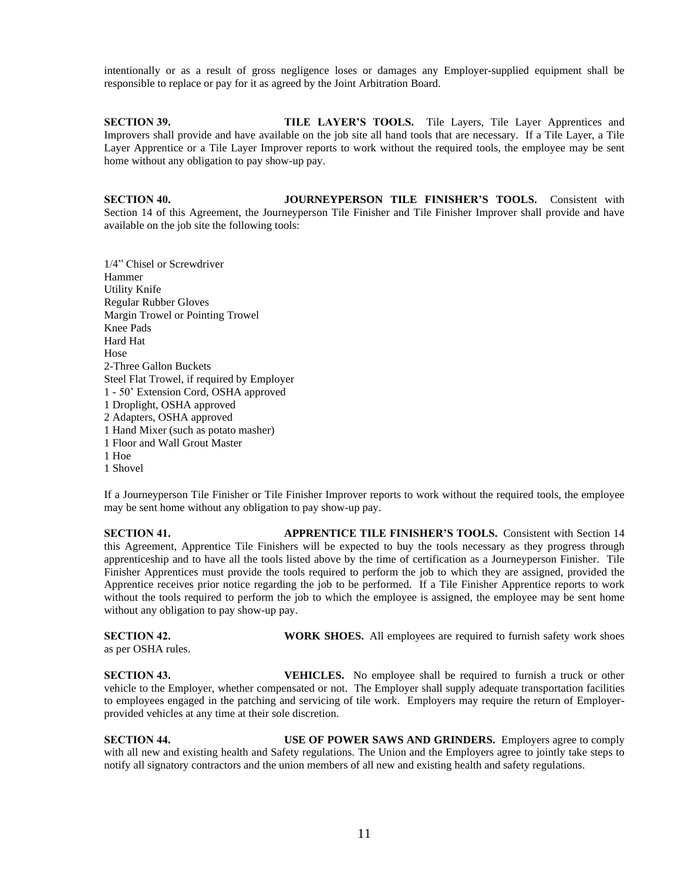intentionally or as a result of gross negligence loses or damages any Employer-supplied equipment shall be responsible to replace or pay for it as agreed by the Joint Arbitration Board.

**SECTION 39. TILE LAYER'S TOOLS.** Tile Layers, Tile Layer Apprentices and Improvers shall provide and have available on the job site all hand tools that are necessary. If a Tile Layer, a Tile Layer Apprentice or a Tile Layer Improver reports to work without the required tools, the employee may be sent home without any obligation to pay show-up pay.

**SECTION 40. JOURNEYPERSON TILE FINISHER'S TOOLS.** Consistent with Section 14 of this Agreement, the Journeyperson Tile Finisher and Tile Finisher Improver shall provide and have available on the job site the following tools:

1/4" Chisel or Screwdriver Hammer Utility Knife Regular Rubber Gloves Margin Trowel or Pointing Trowel Knee Pads Hard Hat **Hose** 2-Three Gallon Buckets Steel Flat Trowel, if required by Employer 1 - 50' Extension Cord, OSHA approved 1 Droplight, OSHA approved 2 Adapters, OSHA approved 1 Hand Mixer (such as potato masher) 1 Floor and Wall Grout Master 1 Hoe 1 Shovel

If a Journeyperson Tile Finisher or Tile Finisher Improver reports to work without the required tools, the employee may be sent home without any obligation to pay show-up pay.

**SECTION 41. APPRENTICE TILE FINISHER'S TOOLS.** Consistent with Section 14 this Agreement, Apprentice Tile Finishers will be expected to buy the tools necessary as they progress through apprenticeship and to have all the tools listed above by the time of certification as a Journeyperson Finisher. Tile Finisher Apprentices must provide the tools required to perform the job to which they are assigned, provided the Apprentice receives prior notice regarding the job to be performed. If a Tile Finisher Apprentice reports to work without the tools required to perform the job to which the employee is assigned, the employee may be sent home without any obligation to pay show-up pay.

**SECTION 42. WORK SHOES.** All employees are required to furnish safety work shoes

as per OSHA rules.

**SECTION 43. VEHICLES.** No employee shall be required to furnish a truck or other vehicle to the Employer, whether compensated or not. The Employer shall supply adequate transportation facilities to employees engaged in the patching and servicing of tile work. Employers may require the return of Employerprovided vehicles at any time at their sole discretion.

**SECTION 44. USE OF POWER SAWS AND GRINDERS.** Employers agree to comply with all new and existing health and Safety regulations. The Union and the Employers agree to jointly take steps to notify all signatory contractors and the union members of all new and existing health and safety regulations.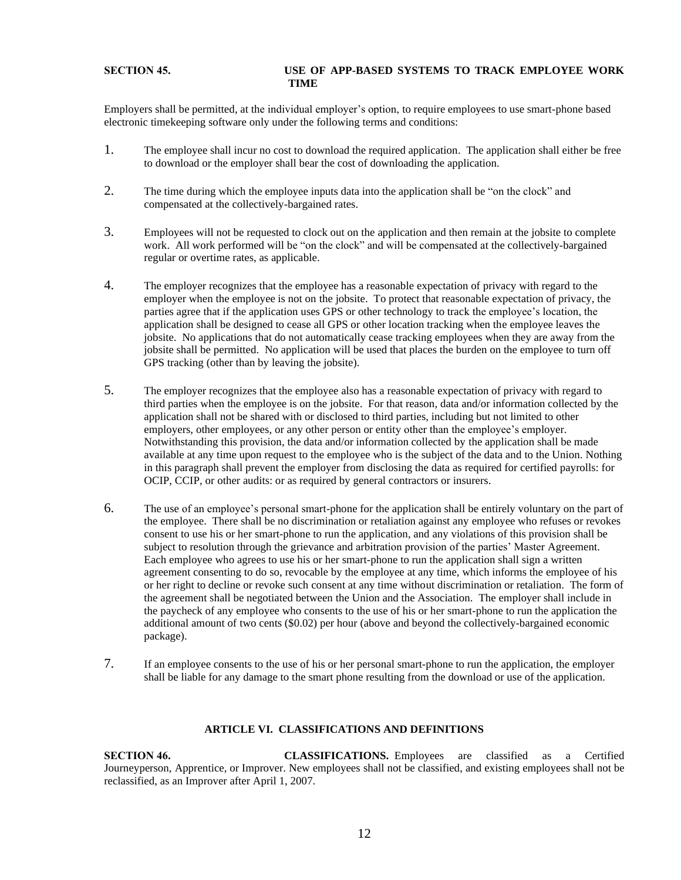## **SECTION 45. USE OF APP-BASED SYSTEMS TO TRACK EMPLOYEE WORK TIME**

Employers shall be permitted, at the individual employer's option, to require employees to use smart-phone based electronic timekeeping software only under the following terms and conditions:

- 1. The employee shall incur no cost to download the required application. The application shall either be free to download or the employer shall bear the cost of downloading the application.
- 2. The time during which the employee inputs data into the application shall be "on the clock" and compensated at the collectively-bargained rates.
- 3. Employees will not be requested to clock out on the application and then remain at the jobsite to complete work. All work performed will be "on the clock" and will be compensated at the collectively-bargained regular or overtime rates, as applicable.
- 4. The employer recognizes that the employee has a reasonable expectation of privacy with regard to the employer when the employee is not on the jobsite. To protect that reasonable expectation of privacy, the parties agree that if the application uses GPS or other technology to track the employee's location, the application shall be designed to cease all GPS or other location tracking when the employee leaves the jobsite. No applications that do not automatically cease tracking employees when they are away from the jobsite shall be permitted. No application will be used that places the burden on the employee to turn off GPS tracking (other than by leaving the jobsite).
- 5. The employer recognizes that the employee also has a reasonable expectation of privacy with regard to third parties when the employee is on the jobsite. For that reason, data and/or information collected by the application shall not be shared with or disclosed to third parties, including but not limited to other employers, other employees, or any other person or entity other than the employee's employer. Notwithstanding this provision, the data and/or information collected by the application shall be made available at any time upon request to the employee who is the subject of the data and to the Union. Nothing in this paragraph shall prevent the employer from disclosing the data as required for certified payrolls: for OCIP, CCIP, or other audits: or as required by general contractors or insurers.
- 6. The use of an employee's personal smart-phone for the application shall be entirely voluntary on the part of the employee. There shall be no discrimination or retaliation against any employee who refuses or revokes consent to use his or her smart-phone to run the application, and any violations of this provision shall be subject to resolution through the grievance and arbitration provision of the parties' Master Agreement. Each employee who agrees to use his or her smart-phone to run the application shall sign a written agreement consenting to do so, revocable by the employee at any time, which informs the employee of his or her right to decline or revoke such consent at any time without discrimination or retaliation. The form of the agreement shall be negotiated between the Union and the Association. The employer shall include in the paycheck of any employee who consents to the use of his or her smart-phone to run the application the additional amount of two cents (\$0.02) per hour (above and beyond the collectively-bargained economic package).
- 7. If an employee consents to the use of his or her personal smart-phone to run the application, the employer shall be liable for any damage to the smart phone resulting from the download or use of the application.

## **ARTICLE VI. CLASSIFICATIONS AND DEFINITIONS**

**SECTION 46. CLASSIFICATIONS.** Employees are classified as a Certified Journeyperson, Apprentice, or Improver. New employees shall not be classified, and existing employees shall not be reclassified, as an Improver after April 1, 2007.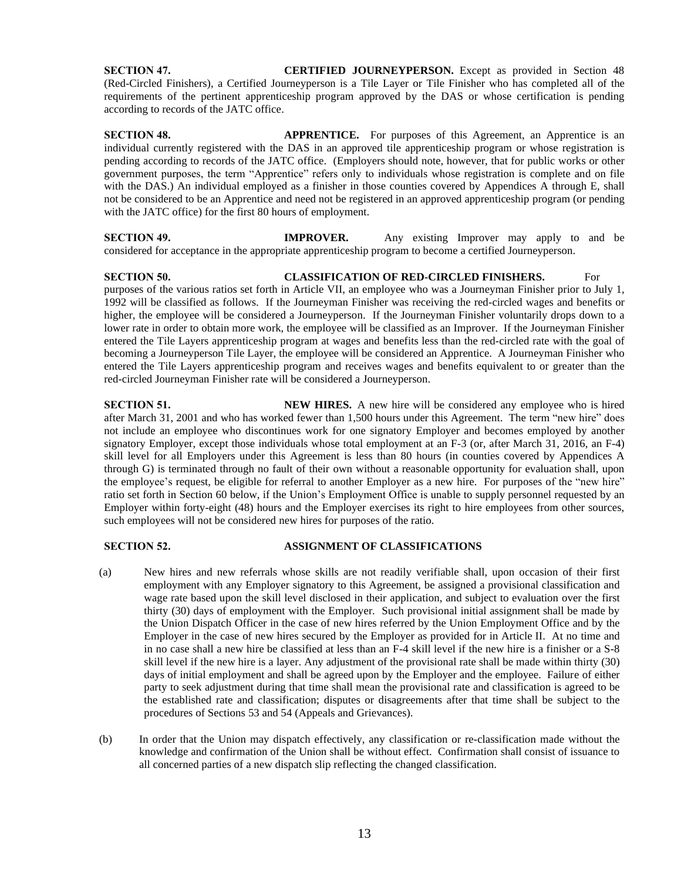## **SECTION 47. CERTIFIED JOURNEYPERSON.** Except as provided in Section 48 (Red-Circled Finishers), a Certified Journeyperson is a Tile Layer or Tile Finisher who has completed all of the requirements of the pertinent apprenticeship program approved by the DAS or whose certification is pending according to records of the JATC office.

**SECTION 48. APPRENTICE.** For purposes of this Agreement, an Apprentice is an individual currently registered with the DAS in an approved tile apprenticeship program or whose registration is pending according to records of the JATC office. (Employers should note, however, that for public works or other government purposes, the term "Apprentice" refers only to individuals whose registration is complete and on file with the DAS.) An individual employed as a finisher in those counties covered by Appendices A through E, shall not be considered to be an Apprentice and need not be registered in an approved apprenticeship program (or pending with the JATC office) for the first 80 hours of employment.

### **SECTION 49. IMPROVER.** Any existing Improver may apply to and be considered for acceptance in the appropriate apprenticeship program to become a certified Journeyperson.

**SECTION 50. CLASSIFICATION OF RED-CIRCLED FINISHERS.** For

purposes of the various ratios set forth in Article VII, an employee who was a Journeyman Finisher prior to July 1, 1992 will be classified as follows. If the Journeyman Finisher was receiving the red-circled wages and benefits or higher, the employee will be considered a Journeyperson. If the Journeyman Finisher voluntarily drops down to a lower rate in order to obtain more work, the employee will be classified as an Improver. If the Journeyman Finisher entered the Tile Layers apprenticeship program at wages and benefits less than the red-circled rate with the goal of becoming a Journeyperson Tile Layer, the employee will be considered an Apprentice. A Journeyman Finisher who entered the Tile Layers apprenticeship program and receives wages and benefits equivalent to or greater than the red-circled Journeyman Finisher rate will be considered a Journeyperson.

**SECTION 51. NEW HIRES.** A new hire will be considered any employee who is hired after March 31, 2001 and who has worked fewer than 1,500 hours under this Agreement. The term "new hire" does not include an employee who discontinues work for one signatory Employer and becomes employed by another signatory Employer, except those individuals whose total employment at an F-3 (or, after March 31, 2016, an F-4) skill level for all Employers under this Agreement is less than 80 hours (in counties covered by Appendices A through G) is terminated through no fault of their own without a reasonable opportunity for evaluation shall, upon the employee's request, be eligible for referral to another Employer as a new hire. For purposes of the "new hire" ratio set forth in Section 60 below, if the Union's Employment Office is unable to supply personnel requested by an Employer within forty-eight (48) hours and the Employer exercises its right to hire employees from other sources, such employees will not be considered new hires for purposes of the ratio.

## **SECTION 52. ASSIGNMENT OF CLASSIFICATIONS**

- (a) New hires and new referrals whose skills are not readily verifiable shall, upon occasion of their first employment with any Employer signatory to this Agreement, be assigned a provisional classification and wage rate based upon the skill level disclosed in their application, and subject to evaluation over the first thirty (30) days of employment with the Employer. Such provisional initial assignment shall be made by the Union Dispatch Officer in the case of new hires referred by the Union Employment Office and by the Employer in the case of new hires secured by the Employer as provided for in Article II. At no time and in no case shall a new hire be classified at less than an F-4 skill level if the new hire is a finisher or a S-8 skill level if the new hire is a layer. Any adjustment of the provisional rate shall be made within thirty (30) days of initial employment and shall be agreed upon by the Employer and the employee. Failure of either party to seek adjustment during that time shall mean the provisional rate and classification is agreed to be the established rate and classification; disputes or disagreements after that time shall be subject to the procedures of Sections 53 and 54 (Appeals and Grievances).
- (b) In order that the Union may dispatch effectively, any classification or re-classification made without the knowledge and confirmation of the Union shall be without effect. Confirmation shall consist of issuance to all concerned parties of a new dispatch slip reflecting the changed classification.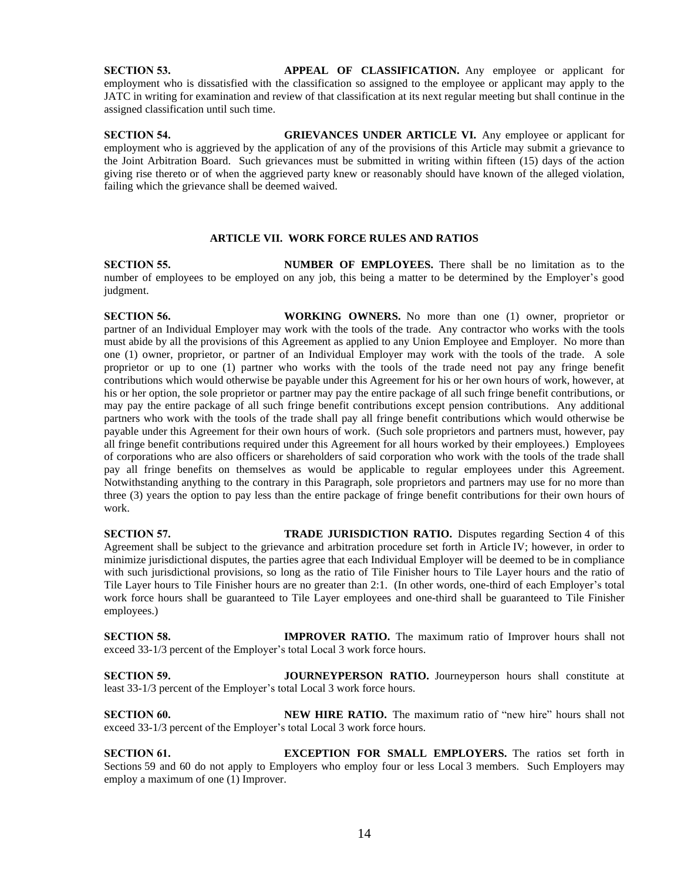**SECTION 53. APPEAL OF CLASSIFICATION.** Any employee or applicant for employment who is dissatisfied with the classification so assigned to the employee or applicant may apply to the JATC in writing for examination and review of that classification at its next regular meeting but shall continue in the assigned classification until such time.

**SECTION 54. GRIEVANCES UNDER ARTICLE VI.** Any employee or applicant for employment who is aggrieved by the application of any of the provisions of this Article may submit a grievance to the Joint Arbitration Board. Such grievances must be submitted in writing within fifteen (15) days of the action giving rise thereto or of when the aggrieved party knew or reasonably should have known of the alleged violation, failing which the grievance shall be deemed waived.

## **ARTICLE VII. WORK FORCE RULES AND RATIOS**

**SECTION 55. NUMBER OF EMPLOYEES.** There shall be no limitation as to the number of employees to be employed on any job, this being a matter to be determined by the Employer's good judgment.

**SECTION 56. WORKING OWNERS.** No more than one (1) owner, proprietor or partner of an Individual Employer may work with the tools of the trade. Any contractor who works with the tools must abide by all the provisions of this Agreement as applied to any Union Employee and Employer. No more than one (1) owner, proprietor, or partner of an Individual Employer may work with the tools of the trade. A sole proprietor or up to one (1) partner who works with the tools of the trade need not pay any fringe benefit contributions which would otherwise be payable under this Agreement for his or her own hours of work, however, at his or her option, the sole proprietor or partner may pay the entire package of all such fringe benefit contributions, or may pay the entire package of all such fringe benefit contributions except pension contributions. Any additional partners who work with the tools of the trade shall pay all fringe benefit contributions which would otherwise be payable under this Agreement for their own hours of work. (Such sole proprietors and partners must, however, pay all fringe benefit contributions required under this Agreement for all hours worked by their employees.) Employees of corporations who are also officers or shareholders of said corporation who work with the tools of the trade shall pay all fringe benefits on themselves as would be applicable to regular employees under this Agreement. Notwithstanding anything to the contrary in this Paragraph, sole proprietors and partners may use for no more than three (3) years the option to pay less than the entire package of fringe benefit contributions for their own hours of work.

**SECTION 57. TRADE JURISDICTION RATIO.** Disputes regarding Section 4 of this Agreement shall be subject to the grievance and arbitration procedure set forth in Article IV; however, in order to minimize jurisdictional disputes, the parties agree that each Individual Employer will be deemed to be in compliance with such jurisdictional provisions, so long as the ratio of Tile Finisher hours to Tile Layer hours and the ratio of Tile Layer hours to Tile Finisher hours are no greater than 2:1. (In other words, one-third of each Employer's total work force hours shall be guaranteed to Tile Layer employees and one-third shall be guaranteed to Tile Finisher employees.)

**SECTION 58. IMPROVER RATIO.** The maximum ratio of Improver hours shall not exceed 33-1/3 percent of the Employer's total Local 3 work force hours.

**SECTION 59. JOURNEYPERSON RATIO.** Journeyperson hours shall constitute at least 33-1/3 percent of the Employer's total Local 3 work force hours.

**SECTION 60. NEW HIRE RATIO.** The maximum ratio of "new hire" hours shall not exceed 33-1/3 percent of the Employer's total Local 3 work force hours.

**SECTION 61. EXCEPTION FOR SMALL EMPLOYERS.** The ratios set forth in Sections 59 and 60 do not apply to Employers who employ four or less Local 3 members. Such Employers may employ a maximum of one (1) Improver.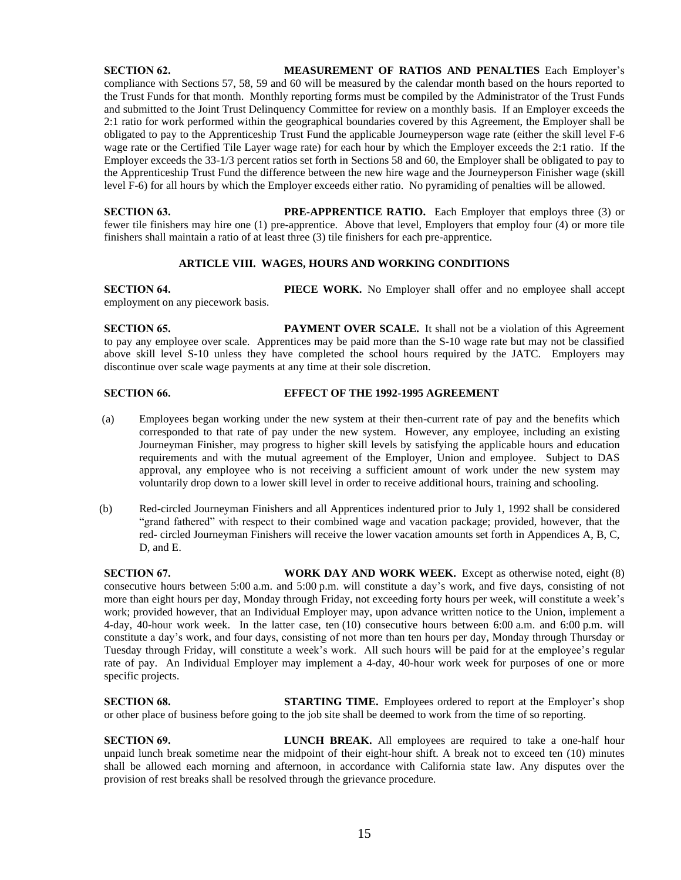## **SECTION 62. MEASUREMENT OF RATIOS AND PENALTIES** Each Employer's compliance with Sections 57, 58, 59 and 60 will be measured by the calendar month based on the hours reported to the Trust Funds for that month. Monthly reporting forms must be compiled by the Administrator of the Trust Funds and submitted to the Joint Trust Delinquency Committee for review on a monthly basis. If an Employer exceeds the 2:1 ratio for work performed within the geographical boundaries covered by this Agreement, the Employer shall be obligated to pay to the Apprenticeship Trust Fund the applicable Journeyperson wage rate (either the skill level F-6 wage rate or the Certified Tile Layer wage rate) for each hour by which the Employer exceeds the 2:1 ratio. If the Employer exceeds the 33-1/3 percent ratios set forth in Sections 58 and 60, the Employer shall be obligated to pay to the Apprenticeship Trust Fund the difference between the new hire wage and the Journeyperson Finisher wage (skill level F-6) for all hours by which the Employer exceeds either ratio. No pyramiding of penalties will be allowed.

**SECTION 63. PRE-APPRENTICE RATIO.** Each Employer that employs three (3) or fewer tile finishers may hire one (1) pre-apprentice. Above that level, Employers that employ four (4) or more tile finishers shall maintain a ratio of at least three (3) tile finishers for each pre-apprentice.

## **ARTICLE VIII. WAGES, HOURS AND WORKING CONDITIONS**

**SECTION 64. PIECE WORK.** No Employer shall offer and no employee shall accept employment on any piecework basis.

**SECTION 65. PAYMENT OVER SCALE.** It shall not be a violation of this Agreement to pay any employee over scale. Apprentices may be paid more than the S-10 wage rate but may not be classified above skill level S-10 unless they have completed the school hours required by the JATC. Employers may discontinue over scale wage payments at any time at their sole discretion.

## **SECTION 66. EFFECT OF THE 1992-1995 AGREEMENT**

- (a) Employees began working under the new system at their then-current rate of pay and the benefits which corresponded to that rate of pay under the new system. However, any employee, including an existing Journeyman Finisher, may progress to higher skill levels by satisfying the applicable hours and education requirements and with the mutual agreement of the Employer, Union and employee. Subject to DAS approval, any employee who is not receiving a sufficient amount of work under the new system may voluntarily drop down to a lower skill level in order to receive additional hours, training and schooling.
- (b) Red-circled Journeyman Finishers and all Apprentices indentured prior to July 1, 1992 shall be considered "grand fathered" with respect to their combined wage and vacation package; provided, however, that the red- circled Journeyman Finishers will receive the lower vacation amounts set forth in Appendices A, B, C, D, and E.

**SECTION 67. WORK DAY AND WORK WEEK.** Except as otherwise noted, eight (8) consecutive hours between 5:00 a.m. and 5:00 p.m. will constitute a day's work, and five days, consisting of not more than eight hours per day, Monday through Friday, not exceeding forty hours per week, will constitute a week's work; provided however, that an Individual Employer may, upon advance written notice to the Union, implement a 4-day, 40-hour work week. In the latter case, ten (10) consecutive hours between 6:00 a.m. and 6:00 p.m. will constitute a day's work, and four days, consisting of not more than ten hours per day, Monday through Thursday or Tuesday through Friday, will constitute a week's work. All such hours will be paid for at the employee's regular rate of pay. An Individual Employer may implement a 4-day, 40-hour work week for purposes of one or more specific projects.

**SECTION 68. STARTING TIME.** Employees ordered to report at the Employer's shop or other place of business before going to the job site shall be deemed to work from the time of so reporting.

**SECTION 69. LUNCH BREAK.** All employees are required to take a one-half hour unpaid lunch break sometime near the midpoint of their eight-hour shift. A break not to exceed ten (10) minutes shall be allowed each morning and afternoon, in accordance with California state law. Any disputes over the provision of rest breaks shall be resolved through the grievance procedure.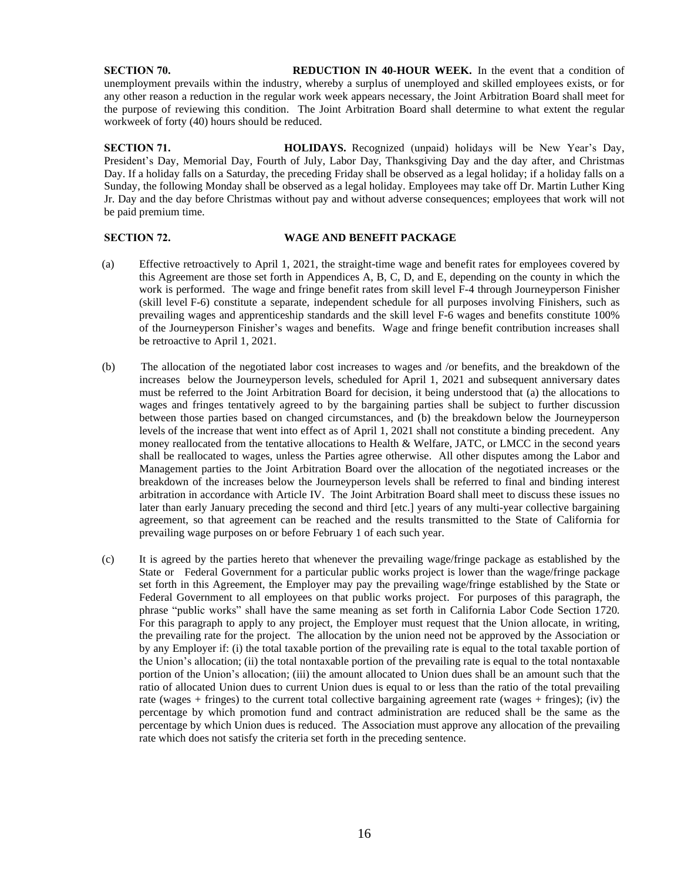## **SECTION 70. REDUCTION IN 40-HOUR WEEK.** In the event that a condition of unemployment prevails within the industry, whereby a surplus of unemployed and skilled employees exists, or for any other reason a reduction in the regular work week appears necessary, the Joint Arbitration Board shall meet for the purpose of reviewing this condition. The Joint Arbitration Board shall determine to what extent the regular workweek of forty (40) hours should be reduced.

**SECTION 71. HOLIDAYS.** Recognized (unpaid) holidays will be New Year's Day, President's Day, Memorial Day, Fourth of July, Labor Day, Thanksgiving Day and the day after, and Christmas Day. If a holiday falls on a Saturday, the preceding Friday shall be observed as a legal holiday; if a holiday falls on a Sunday, the following Monday shall be observed as a legal holiday. Employees may take off Dr. Martin Luther King Jr. Day and the day before Christmas without pay and without adverse consequences; employees that work will not be paid premium time.

## **SECTION 72. WAGE AND BENEFIT PACKAGE**

- (a) Effective retroactively to April 1, 2021, the straight-time wage and benefit rates for employees covered by this Agreement are those set forth in Appendices A, B, C, D, and E, depending on the county in which the work is performed. The wage and fringe benefit rates from skill level F-4 through Journeyperson Finisher (skill level F-6) constitute a separate, independent schedule for all purposes involving Finishers, such as prevailing wages and apprenticeship standards and the skill level F-6 wages and benefits constitute 100% of the Journeyperson Finisher's wages and benefits. Wage and fringe benefit contribution increases shall be retroactive to April 1, 2021.
- (b) The allocation of the negotiated labor cost increases to wages and /or benefits, and the breakdown of the increases below the Journeyperson levels, scheduled for April 1, 2021 and subsequent anniversary dates must be referred to the Joint Arbitration Board for decision, it being understood that (a) the allocations to wages and fringes tentatively agreed to by the bargaining parties shall be subject to further discussion between those parties based on changed circumstances, and (b) the breakdown below the Journeyperson levels of the increase that went into effect as of April 1, 2021 shall not constitute a binding precedent. Any money reallocated from the tentative allocations to Health & Welfare, JATC, or LMCC in the second years shall be reallocated to wages, unless the Parties agree otherwise. All other disputes among the Labor and Management parties to the Joint Arbitration Board over the allocation of the negotiated increases or the breakdown of the increases below the Journeyperson levels shall be referred to final and binding interest arbitration in accordance with Article IV. The Joint Arbitration Board shall meet to discuss these issues no later than early January preceding the second and third [etc.] years of any multi-year collective bargaining agreement, so that agreement can be reached and the results transmitted to the State of California for prevailing wage purposes on or before February 1 of each such year.
- (c) It is agreed by the parties hereto that whenever the prevailing wage/fringe package as established by the State or Federal Government for a particular public works project is lower than the wage/fringe package set forth in this Agreement, the Employer may pay the prevailing wage/fringe established by the State or Federal Government to all employees on that public works project. For purposes of this paragraph, the phrase "public works" shall have the same meaning as set forth in California Labor Code Section 1720. For this paragraph to apply to any project, the Employer must request that the Union allocate, in writing, the prevailing rate for the project. The allocation by the union need not be approved by the Association or by any Employer if: (i) the total taxable portion of the prevailing rate is equal to the total taxable portion of the Union's allocation; (ii) the total nontaxable portion of the prevailing rate is equal to the total nontaxable portion of the Union's allocation; (iii) the amount allocated to Union dues shall be an amount such that the ratio of allocated Union dues to current Union dues is equal to or less than the ratio of the total prevailing rate (wages + fringes) to the current total collective bargaining agreement rate (wages + fringes); (iv) the percentage by which promotion fund and contract administration are reduced shall be the same as the percentage by which Union dues is reduced. The Association must approve any allocation of the prevailing rate which does not satisfy the criteria set forth in the preceding sentence.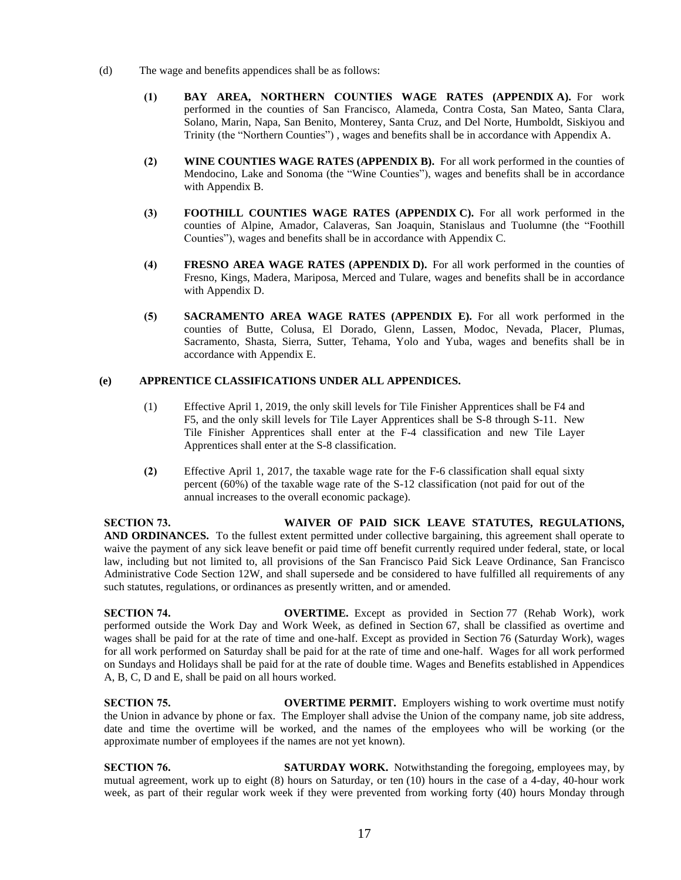- (d) The wage and benefits appendices shall be as follows:
	- **(1) BAY AREA, NORTHERN COUNTIES WAGE RATES (APPENDIX A).** For work performed in the counties of San Francisco, Alameda, Contra Costa, San Mateo, Santa Clara, Solano, Marin, Napa, San Benito, Monterey, Santa Cruz, and Del Norte, Humboldt, Siskiyou and Trinity (the "Northern Counties") , wages and benefits shall be in accordance with Appendix A.
	- **(2) WINE COUNTIES WAGE RATES (APPENDIX B).** For all work performed in the counties of Mendocino, Lake and Sonoma (the "Wine Counties"), wages and benefits shall be in accordance with Appendix B.
	- **(3) FOOTHILL COUNTIES WAGE RATES (APPENDIX C).** For all work performed in the counties of Alpine, Amador, Calaveras, San Joaquin, Stanislaus and Tuolumne (the "Foothill Counties"), wages and benefits shall be in accordance with Appendix C.
	- **(4) FRESNO AREA WAGE RATES (APPENDIX D).** For all work performed in the counties of Fresno, Kings, Madera, Mariposa, Merced and Tulare, wages and benefits shall be in accordance with Appendix D.
	- **(5) SACRAMENTO AREA WAGE RATES (APPENDIX E).** For all work performed in the counties of Butte, Colusa, El Dorado, Glenn, Lassen, Modoc, Nevada, Placer, Plumas, Sacramento, Shasta, Sierra, Sutter, Tehama, Yolo and Yuba, wages and benefits shall be in accordance with Appendix E.

## **(e) APPRENTICE CLASSIFICATIONS UNDER ALL APPENDICES.**

- (1) Effective April 1, 2019, the only skill levels for Tile Finisher Apprentices shall be F4 and F5, and the only skill levels for Tile Layer Apprentices shall be S-8 through S-11. New Tile Finisher Apprentices shall enter at the F-4 classification and new Tile Layer Apprentices shall enter at the S-8 classification.
- **(2)** Effective April 1, 2017, the taxable wage rate for the F-6 classification shall equal sixty percent (60%) of the taxable wage rate of the S-12 classification (not paid for out of the annual increases to the overall economic package).

**SECTION 73. WAIVER OF PAID SICK LEAVE STATUTES, REGULATIONS, AND ORDINANCES.** To the fullest extent permitted under collective bargaining, this agreement shall operate to waive the payment of any sick leave benefit or paid time off benefit currently required under federal, state, or local law, including but not limited to, all provisions of the San Francisco Paid Sick Leave Ordinance, San Francisco Administrative Code Section 12W, and shall supersede and be considered to have fulfilled all requirements of any such statutes, regulations, or ordinances as presently written, and or amended.

**SECTION 74. OVERTIME.** Except as provided in Section 77 (Rehab Work), work performed outside the Work Day and Work Week, as defined in Section 67, shall be classified as overtime and wages shall be paid for at the rate of time and one-half. Except as provided in Section 76 (Saturday Work), wages for all work performed on Saturday shall be paid for at the rate of time and one-half. Wages for all work performed on Sundays and Holidays shall be paid for at the rate of double time. Wages and Benefits established in Appendices A, B, C, D and E, shall be paid on all hours worked.

**SECTION 75. OVERTIME PERMIT.** Employers wishing to work overtime must notify the Union in advance by phone or fax. The Employer shall advise the Union of the company name, job site address, date and time the overtime will be worked, and the names of the employees who will be working (or the approximate number of employees if the names are not yet known).

**SECTION 76. SATURDAY WORK.** Notwithstanding the foregoing, employees may, by mutual agreement, work up to eight (8) hours on Saturday, or ten (10) hours in the case of a 4-day, 40-hour work week, as part of their regular work week if they were prevented from working forty (40) hours Monday through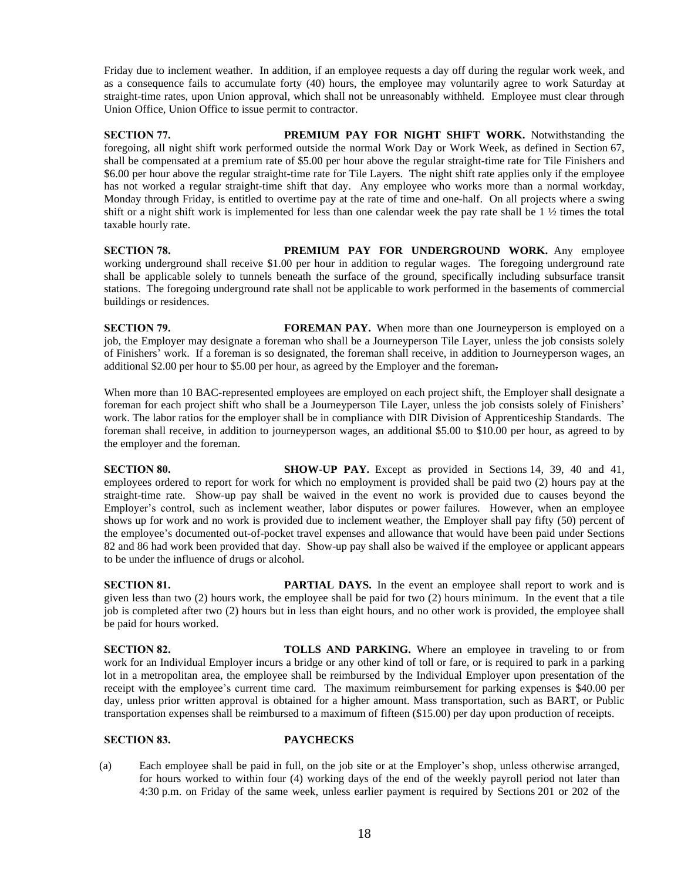Friday due to inclement weather. In addition, if an employee requests a day off during the regular work week, and as a consequence fails to accumulate forty (40) hours, the employee may voluntarily agree to work Saturday at straight-time rates, upon Union approval, which shall not be unreasonably withheld. Employee must clear through Union Office, Union Office to issue permit to contractor.

**SECTION 77. PREMIUM PAY FOR NIGHT SHIFT WORK.** Notwithstanding the foregoing, all night shift work performed outside the normal Work Day or Work Week, as defined in Section 67, shall be compensated at a premium rate of \$5.00 per hour above the regular straight-time rate for Tile Finishers and \$6.00 per hour above the regular straight-time rate for Tile Layers. The night shift rate applies only if the employee has not worked a regular straight-time shift that day. Any employee who works more than a normal workday, Monday through Friday, is entitled to overtime pay at the rate of time and one-half. On all projects where a swing shift or a night shift work is implemented for less than one calendar week the pay rate shall be 1 ½ times the total taxable hourly rate.

**SECTION 78. PREMIUM PAY FOR UNDERGROUND WORK.** Any employee working underground shall receive \$1.00 per hour in addition to regular wages. The foregoing underground rate shall be applicable solely to tunnels beneath the surface of the ground, specifically including subsurface transit stations. The foregoing underground rate shall not be applicable to work performed in the basements of commercial buildings or residences.

**SECTION 79. FOREMAN PAY.** When more than one Journeyperson is employed on a job, the Employer may designate a foreman who shall be a Journeyperson Tile Layer, unless the job consists solely of Finishers' work. If a foreman is so designated, the foreman shall receive, in addition to Journeyperson wages, an additional \$2.00 per hour to \$5.00 per hour, as agreed by the Employer and the foreman.

When more than 10 BAC-represented employees are employed on each project shift, the Employer shall designate a foreman for each project shift who shall be a Journeyperson Tile Layer, unless the job consists solely of Finishers' work. The labor ratios for the employer shall be in compliance with DIR Division of Apprenticeship Standards. The foreman shall receive, in addition to journeyperson wages, an additional \$5.00 to \$10.00 per hour, as agreed to by the employer and the foreman.

**SECTION 80. SHOW-UP PAY.** Except as provided in Sections 14, 39, 40 and 41, employees ordered to report for work for which no employment is provided shall be paid two (2) hours pay at the straight-time rate. Show-up pay shall be waived in the event no work is provided due to causes beyond the Employer's control, such as inclement weather, labor disputes or power failures. However, when an employee shows up for work and no work is provided due to inclement weather, the Employer shall pay fifty (50) percent of the employee's documented out-of-pocket travel expenses and allowance that would have been paid under Sections 82 and 86 had work been provided that day. Show-up pay shall also be waived if the employee or applicant appears to be under the influence of drugs or alcohol.

**SECTION 81. PARTIAL DAYS.** In the event an employee shall report to work and is given less than two (2) hours work, the employee shall be paid for two (2) hours minimum. In the event that a tile job is completed after two (2) hours but in less than eight hours, and no other work is provided, the employee shall be paid for hours worked.

**SECTION 82. TOLLS AND PARKING.** Where an employee in traveling to or from work for an Individual Employer incurs a bridge or any other kind of toll or fare, or is required to park in a parking lot in a metropolitan area, the employee shall be reimbursed by the Individual Employer upon presentation of the receipt with the employee's current time card. The maximum reimbursement for parking expenses is \$40.00 per day, unless prior written approval is obtained for a higher amount. Mass transportation, such as BART, or Public transportation expenses shall be reimbursed to a maximum of fifteen (\$15.00) per day upon production of receipts.

## **SECTION 83. PAYCHECKS**

(a) Each employee shall be paid in full, on the job site or at the Employer's shop, unless otherwise arranged, for hours worked to within four (4) working days of the end of the weekly payroll period not later than 4:30 p.m. on Friday of the same week, unless earlier payment is required by Sections 201 or 202 of the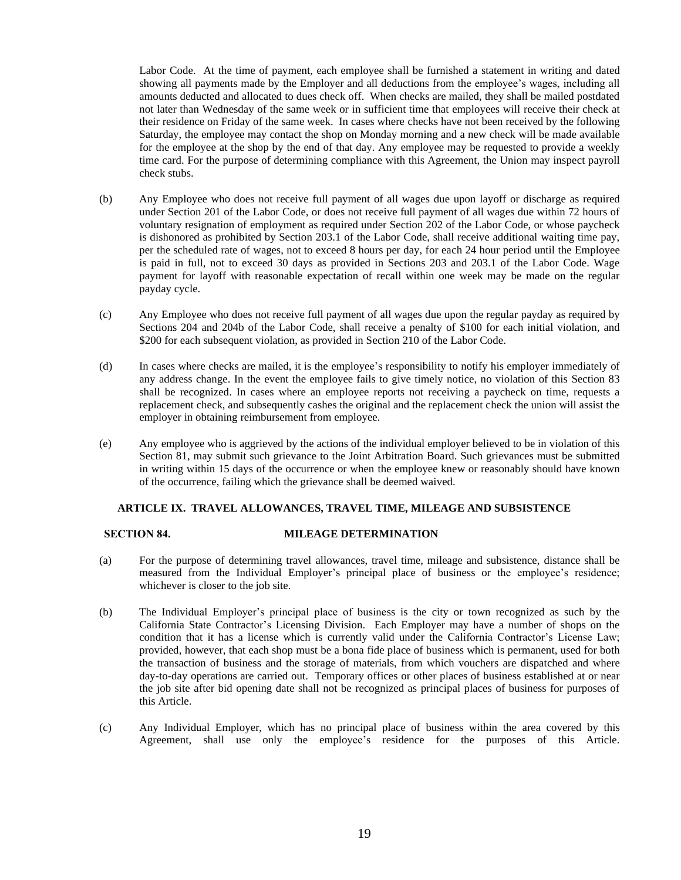Labor Code. At the time of payment, each employee shall be furnished a statement in writing and dated showing all payments made by the Employer and all deductions from the employee's wages, including all amounts deducted and allocated to dues check off. When checks are mailed, they shall be mailed postdated not later than Wednesday of the same week or in sufficient time that employees will receive their check at their residence on Friday of the same week. In cases where checks have not been received by the following Saturday, the employee may contact the shop on Monday morning and a new check will be made available for the employee at the shop by the end of that day. Any employee may be requested to provide a weekly time card. For the purpose of determining compliance with this Agreement, the Union may inspect payroll check stubs.

- (b) Any Employee who does not receive full payment of all wages due upon layoff or discharge as required under Section 201 of the Labor Code, or does not receive full payment of all wages due within 72 hours of voluntary resignation of employment as required under Section 202 of the Labor Code, or whose paycheck is dishonored as prohibited by Section 203.1 of the Labor Code, shall receive additional waiting time pay, per the scheduled rate of wages, not to exceed 8 hours per day, for each 24 hour period until the Employee is paid in full, not to exceed 30 days as provided in Sections 203 and 203.1 of the Labor Code. Wage payment for layoff with reasonable expectation of recall within one week may be made on the regular payday cycle.
- (c) Any Employee who does not receive full payment of all wages due upon the regular payday as required by Sections 204 and 204b of the Labor Code, shall receive a penalty of \$100 for each initial violation, and \$200 for each subsequent violation, as provided in Section 210 of the Labor Code.
- (d) In cases where checks are mailed, it is the employee's responsibility to notify his employer immediately of any address change. In the event the employee fails to give timely notice, no violation of this Section 83 shall be recognized. In cases where an employee reports not receiving a paycheck on time, requests a replacement check, and subsequently cashes the original and the replacement check the union will assist the employer in obtaining reimbursement from employee.
- (e) Any employee who is aggrieved by the actions of the individual employer believed to be in violation of this Section 81, may submit such grievance to the Joint Arbitration Board. Such grievances must be submitted in writing within 15 days of the occurrence or when the employee knew or reasonably should have known of the occurrence, failing which the grievance shall be deemed waived.

## **ARTICLE IX. TRAVEL ALLOWANCES, TRAVEL TIME, MILEAGE AND SUBSISTENCE**

### **SECTION 84. MILEAGE DETERMINATION**

- (a) For the purpose of determining travel allowances, travel time, mileage and subsistence, distance shall be measured from the Individual Employer's principal place of business or the employee's residence; whichever is closer to the job site.
- (b) The Individual Employer's principal place of business is the city or town recognized as such by the California State Contractor's Licensing Division. Each Employer may have a number of shops on the condition that it has a license which is currently valid under the California Contractor's License Law; provided, however, that each shop must be a bona fide place of business which is permanent, used for both the transaction of business and the storage of materials, from which vouchers are dispatched and where day-to-day operations are carried out. Temporary offices or other places of business established at or near the job site after bid opening date shall not be recognized as principal places of business for purposes of this Article.
- (c) Any Individual Employer, which has no principal place of business within the area covered by this Agreement, shall use only the employee's residence for the purposes of this Article.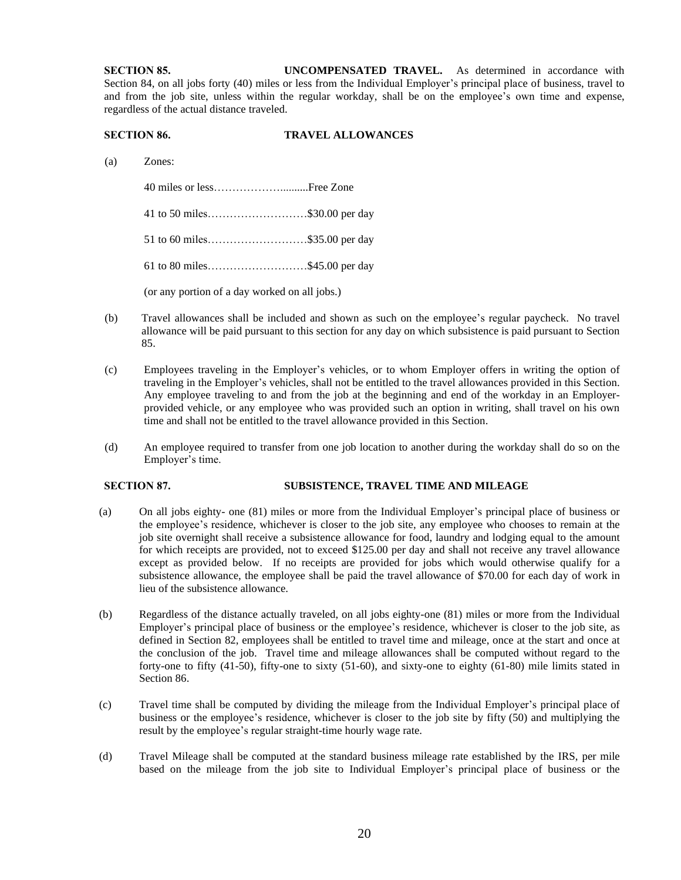**SECTION 85. UNCOMPENSATED TRAVEL.** As determined in accordance with Section 84, on all jobs forty (40) miles or less from the Individual Employer's principal place of business, travel to and from the job site, unless within the regular workday, shall be on the employee's own time and expense, regardless of the actual distance traveled.

## **SECTION 86. TRAVEL ALLOWANCES**

(a) Zones:

40 miles or less………………..........Free Zone

41 to 50 miles………………………\$30.00 per day

51 to 60 miles………………………\$35.00 per day

61 to 80 miles………………………\$45.00 per day

(or any portion of a day worked on all jobs.)

- (b) Travel allowances shall be included and shown as such on the employee's regular paycheck. No travel allowance will be paid pursuant to this section for any day on which subsistence is paid pursuant to Section 85.
- (c) Employees traveling in the Employer's vehicles, or to whom Employer offers in writing the option of traveling in the Employer's vehicles, shall not be entitled to the travel allowances provided in this Section. Any employee traveling to and from the job at the beginning and end of the workday in an Employerprovided vehicle, or any employee who was provided such an option in writing, shall travel on his own time and shall not be entitled to the travel allowance provided in this Section.
- (d) An employee required to transfer from one job location to another during the workday shall do so on the Employer's time.

## **SECTION 87. SUBSISTENCE, TRAVEL TIME AND MILEAGE**

- (a) On all jobs eighty- one (81) miles or more from the Individual Employer's principal place of business or the employee's residence, whichever is closer to the job site, any employee who chooses to remain at the job site overnight shall receive a subsistence allowance for food, laundry and lodging equal to the amount for which receipts are provided, not to exceed \$125.00 per day and shall not receive any travel allowance except as provided below. If no receipts are provided for jobs which would otherwise qualify for a subsistence allowance, the employee shall be paid the travel allowance of \$70.00 for each day of work in lieu of the subsistence allowance.
- (b) Regardless of the distance actually traveled, on all jobs eighty-one (81) miles or more from the Individual Employer's principal place of business or the employee's residence, whichever is closer to the job site, as defined in Section 82, employees shall be entitled to travel time and mileage, once at the start and once at the conclusion of the job. Travel time and mileage allowances shall be computed without regard to the forty-one to fifty (41-50), fifty-one to sixty (51-60), and sixty-one to eighty (61-80) mile limits stated in Section 86.
- (c) Travel time shall be computed by dividing the mileage from the Individual Employer's principal place of business or the employee's residence, whichever is closer to the job site by fifty (50) and multiplying the result by the employee's regular straight-time hourly wage rate.
- (d) Travel Mileage shall be computed at the standard business mileage rate established by the IRS, per mile based on the mileage from the job site to Individual Employer's principal place of business or the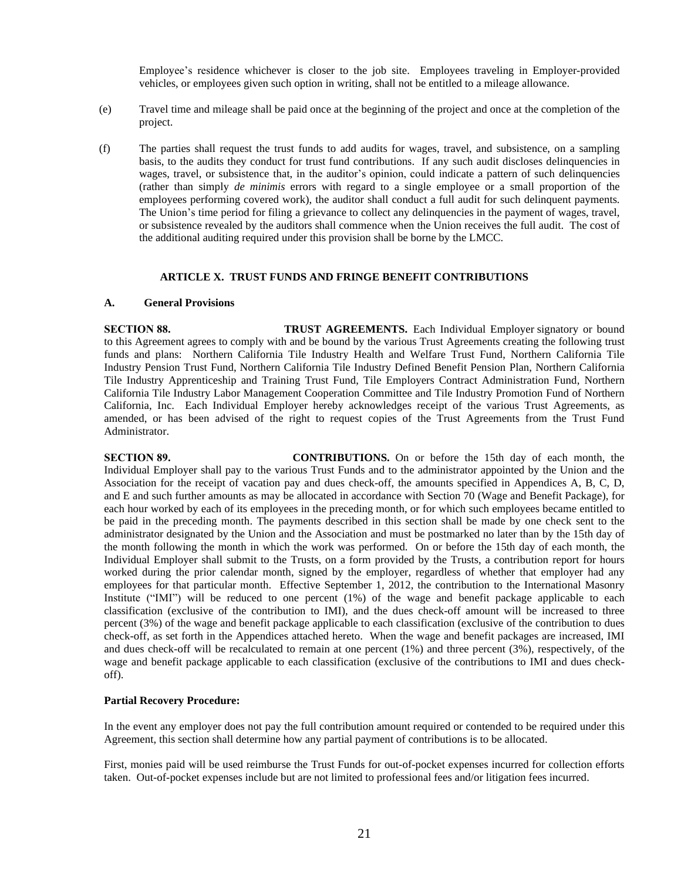Employee's residence whichever is closer to the job site. Employees traveling in Employer-provided vehicles, or employees given such option in writing, shall not be entitled to a mileage allowance.

- (e) Travel time and mileage shall be paid once at the beginning of the project and once at the completion of the project.
- (f) The parties shall request the trust funds to add audits for wages, travel, and subsistence, on a sampling basis, to the audits they conduct for trust fund contributions. If any such audit discloses delinquencies in wages, travel, or subsistence that, in the auditor's opinion, could indicate a pattern of such delinquencies (rather than simply *de minimis* errors with regard to a single employee or a small proportion of the employees performing covered work), the auditor shall conduct a full audit for such delinquent payments. The Union's time period for filing a grievance to collect any delinquencies in the payment of wages, travel, or subsistence revealed by the auditors shall commence when the Union receives the full audit. The cost of the additional auditing required under this provision shall be borne by the LMCC.

### **ARTICLE X. TRUST FUNDS AND FRINGE BENEFIT CONTRIBUTIONS**

### **A. General Provisions**

**SECTION 88. TRUST AGREEMENTS.** Each Individual Employer signatory or bound to this Agreement agrees to comply with and be bound by the various Trust Agreements creating the following trust funds and plans: Northern California Tile Industry Health and Welfare Trust Fund, Northern California Tile Industry Pension Trust Fund, Northern California Tile Industry Defined Benefit Pension Plan, Northern California Tile Industry Apprenticeship and Training Trust Fund, Tile Employers Contract Administration Fund, Northern California Tile Industry Labor Management Cooperation Committee and Tile Industry Promotion Fund of Northern California, Inc. Each Individual Employer hereby acknowledges receipt of the various Trust Agreements, as amended, or has been advised of the right to request copies of the Trust Agreements from the Trust Fund Administrator.

**SECTION 89. CONTRIBUTIONS.** On or before the 15th day of each month, the Individual Employer shall pay to the various Trust Funds and to the administrator appointed by the Union and the Association for the receipt of vacation pay and dues check-off, the amounts specified in Appendices A, B, C, D, and E and such further amounts as may be allocated in accordance with Section 70 (Wage and Benefit Package), for each hour worked by each of its employees in the preceding month, or for which such employees became entitled to be paid in the preceding month. The payments described in this section shall be made by one check sent to the administrator designated by the Union and the Association and must be postmarked no later than by the 15th day of the month following the month in which the work was performed. On or before the 15th day of each month, the Individual Employer shall submit to the Trusts, on a form provided by the Trusts, a contribution report for hours worked during the prior calendar month, signed by the employer, regardless of whether that employer had any employees for that particular month. Effective September 1, 2012, the contribution to the International Masonry Institute ("IMI") will be reduced to one percent (1%) of the wage and benefit package applicable to each classification (exclusive of the contribution to IMI), and the dues check-off amount will be increased to three percent (3%) of the wage and benefit package applicable to each classification (exclusive of the contribution to dues check-off, as set forth in the Appendices attached hereto. When the wage and benefit packages are increased, IMI and dues check-off will be recalculated to remain at one percent (1%) and three percent (3%), respectively, of the wage and benefit package applicable to each classification (exclusive of the contributions to IMI and dues checkoff).

### **Partial Recovery Procedure:**

In the event any employer does not pay the full contribution amount required or contended to be required under this Agreement, this section shall determine how any partial payment of contributions is to be allocated.

First, monies paid will be used reimburse the Trust Funds for out-of-pocket expenses incurred for collection efforts taken. Out-of-pocket expenses include but are not limited to professional fees and/or litigation fees incurred.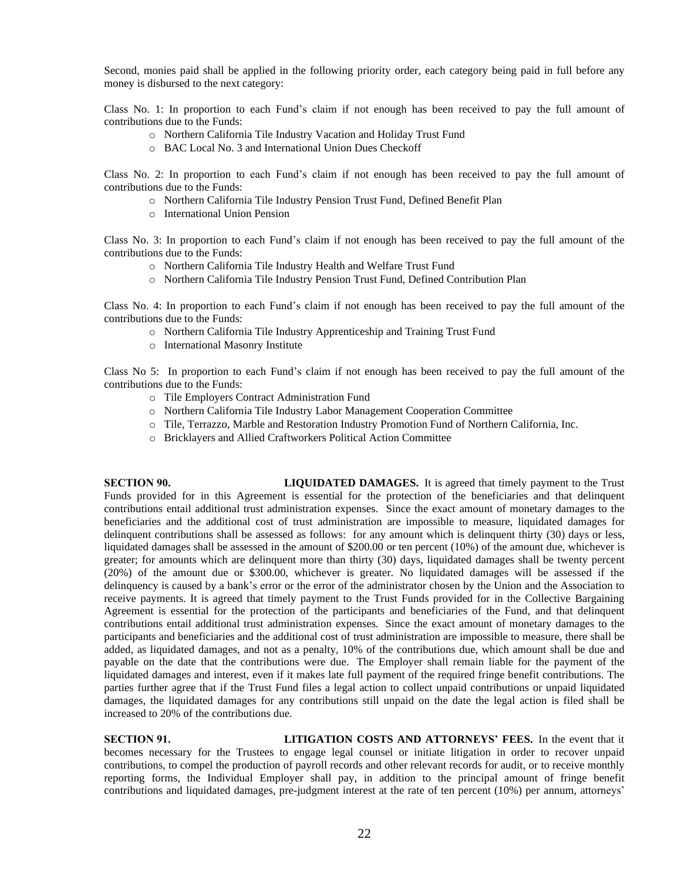Second, monies paid shall be applied in the following priority order, each category being paid in full before any money is disbursed to the next category:

Class No. 1: In proportion to each Fund's claim if not enough has been received to pay the full amount of contributions due to the Funds:

- o Northern California Tile Industry Vacation and Holiday Trust Fund
- o BAC Local No. 3 and International Union Dues Checkoff

Class No. 2: In proportion to each Fund's claim if not enough has been received to pay the full amount of contributions due to the Funds:

- o Northern California Tile Industry Pension Trust Fund, Defined Benefit Plan
- o International Union Pension

Class No. 3: In proportion to each Fund's claim if not enough has been received to pay the full amount of the contributions due to the Funds:

- o Northern California Tile Industry Health and Welfare Trust Fund
- o Northern California Tile Industry Pension Trust Fund, Defined Contribution Plan

Class No. 4: In proportion to each Fund's claim if not enough has been received to pay the full amount of the contributions due to the Funds:

- o Northern California Tile Industry Apprenticeship and Training Trust Fund
- o International Masonry Institute

Class No 5: In proportion to each Fund's claim if not enough has been received to pay the full amount of the contributions due to the Funds:

- o Tile Employers Contract Administration Fund
- o Northern California Tile Industry Labor Management Cooperation Committee
- o Tile, Terrazzo, Marble and Restoration Industry Promotion Fund of Northern California, Inc.
- o Bricklayers and Allied Craftworkers Political Action Committee

**SECTION 90. LIQUIDATED DAMAGES.** It is agreed that timely payment to the Trust Funds provided for in this Agreement is essential for the protection of the beneficiaries and that delinquent contributions entail additional trust administration expenses. Since the exact amount of monetary damages to the beneficiaries and the additional cost of trust administration are impossible to measure, liquidated damages for delinquent contributions shall be assessed as follows: for any amount which is delinquent thirty (30) days or less, liquidated damages shall be assessed in the amount of \$200.00 or ten percent (10%) of the amount due, whichever is greater; for amounts which are delinquent more than thirty (30) days, liquidated damages shall be twenty percent (20%) of the amount due or \$300.00, whichever is greater. No liquidated damages will be assessed if the delinquency is caused by a bank's error or the error of the administrator chosen by the Union and the Association to receive payments. It is agreed that timely payment to the Trust Funds provided for in the Collective Bargaining Agreement is essential for the protection of the participants and beneficiaries of the Fund, and that delinquent contributions entail additional trust administration expenses. Since the exact amount of monetary damages to the participants and beneficiaries and the additional cost of trust administration are impossible to measure, there shall be added, as liquidated damages, and not as a penalty, 10% of the contributions due, which amount shall be due and payable on the date that the contributions were due. The Employer shall remain liable for the payment of the liquidated damages and interest, even if it makes late full payment of the required fringe benefit contributions. The parties further agree that if the Trust Fund files a legal action to collect unpaid contributions or unpaid liquidated damages, the liquidated damages for any contributions still unpaid on the date the legal action is filed shall be increased to 20% of the contributions due.

**SECTION 91. LITIGATION COSTS AND ATTORNEYS' FEES.** In the event that it becomes necessary for the Trustees to engage legal counsel or initiate litigation in order to recover unpaid contributions, to compel the production of payroll records and other relevant records for audit, or to receive monthly reporting forms, the Individual Employer shall pay, in addition to the principal amount of fringe benefit contributions and liquidated damages, pre-judgment interest at the rate of ten percent (10%) per annum, attorneys'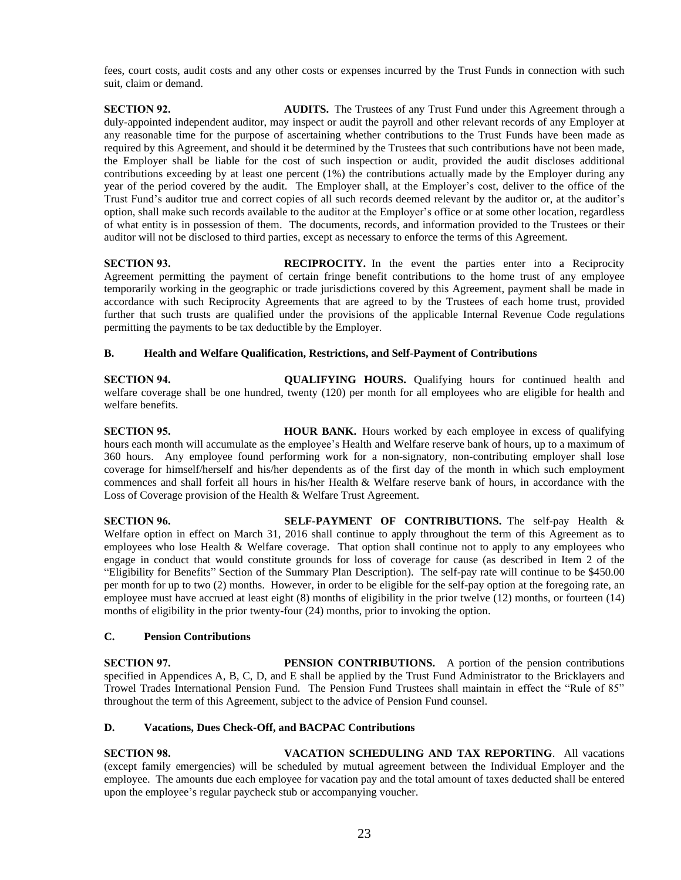fees, court costs, audit costs and any other costs or expenses incurred by the Trust Funds in connection with such suit, claim or demand.

**SECTION 92. AUDITS.** The Trustees of any Trust Fund under this Agreement through a duly-appointed independent auditor, may inspect or audit the payroll and other relevant records of any Employer at any reasonable time for the purpose of ascertaining whether contributions to the Trust Funds have been made as required by this Agreement, and should it be determined by the Trustees that such contributions have not been made, the Employer shall be liable for the cost of such inspection or audit, provided the audit discloses additional contributions exceeding by at least one percent (1%) the contributions actually made by the Employer during any year of the period covered by the audit. The Employer shall, at the Employer's cost, deliver to the office of the Trust Fund's auditor true and correct copies of all such records deemed relevant by the auditor or, at the auditor's option, shall make such records available to the auditor at the Employer's office or at some other location, regardless of what entity is in possession of them. The documents, records, and information provided to the Trustees or their auditor will not be disclosed to third parties, except as necessary to enforce the terms of this Agreement.

**SECTION 93. RECIPROCITY.** In the event the parties enter into a Reciprocity Agreement permitting the payment of certain fringe benefit contributions to the home trust of any employee temporarily working in the geographic or trade jurisdictions covered by this Agreement, payment shall be made in accordance with such Reciprocity Agreements that are agreed to by the Trustees of each home trust, provided further that such trusts are qualified under the provisions of the applicable Internal Revenue Code regulations permitting the payments to be tax deductible by the Employer.

## **B. Health and Welfare Qualification, Restrictions, and Self-Payment of Contributions**

**SECTION 94. QUALIFYING HOURS.** Qualifying hours for continued health and welfare coverage shall be one hundred, twenty (120) per month for all employees who are eligible for health and welfare benefits.

**SECTION 95. HOUR BANK.** Hours worked by each employee in excess of qualifying hours each month will accumulate as the employee's Health and Welfare reserve bank of hours, up to a maximum of 360 hours. Any employee found performing work for a non-signatory, non-contributing employer shall lose coverage for himself/herself and his/her dependents as of the first day of the month in which such employment commences and shall forfeit all hours in his/her Health & Welfare reserve bank of hours, in accordance with the Loss of Coverage provision of the Health & Welfare Trust Agreement.

**SECTION 96. SELF-PAYMENT OF CONTRIBUTIONS.** The self-pay Health & Welfare option in effect on March 31, 2016 shall continue to apply throughout the term of this Agreement as to employees who lose Health & Welfare coverage. That option shall continue not to apply to any employees who engage in conduct that would constitute grounds for loss of coverage for cause (as described in Item 2 of the "Eligibility for Benefits" Section of the Summary Plan Description). The self-pay rate will continue to be \$450.00 per month for up to two (2) months. However, in order to be eligible for the self-pay option at the foregoing rate, an employee must have accrued at least eight (8) months of eligibility in the prior twelve (12) months, or fourteen (14) months of eligibility in the prior twenty-four (24) months, prior to invoking the option.

### **C. Pension Contributions**

**SECTION 97. PENSION CONTRIBUTIONS.** A portion of the pension contributions specified in Appendices A, B, C, D, and E shall be applied by the Trust Fund Administrator to the Bricklayers and Trowel Trades International Pension Fund. The Pension Fund Trustees shall maintain in effect the "Rule of 85" throughout the term of this Agreement, subject to the advice of Pension Fund counsel.

## **D. Vacations, Dues Check-Off, and BACPAC Contributions**

**SECTION 98. VACATION SCHEDULING AND TAX REPORTING**. All vacations (except family emergencies) will be scheduled by mutual agreement between the Individual Employer and the employee. The amounts due each employee for vacation pay and the total amount of taxes deducted shall be entered upon the employee's regular paycheck stub or accompanying voucher.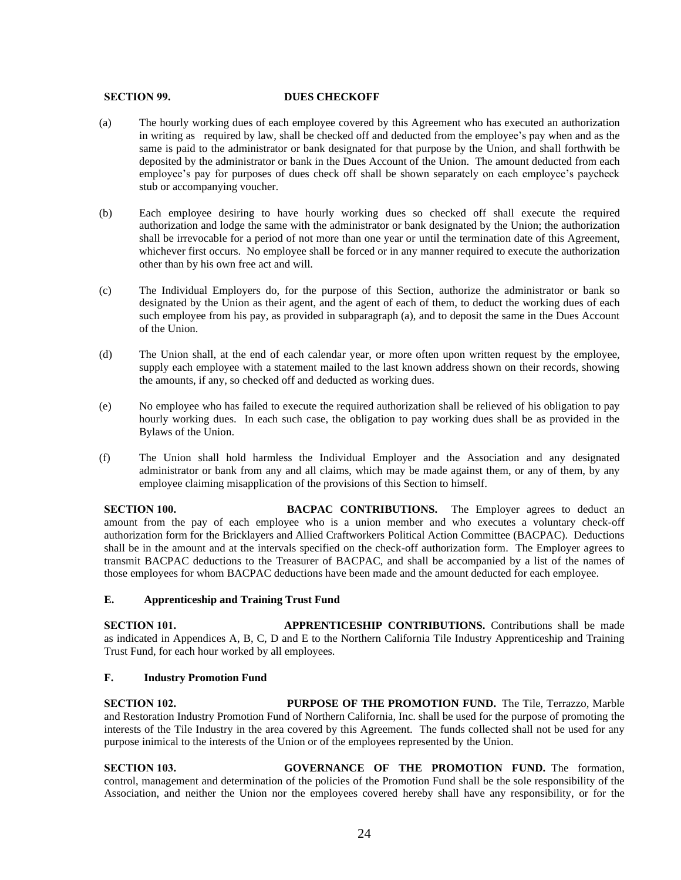## **SECTION 99. DUES CHECKOFF**

- (a) The hourly working dues of each employee covered by this Agreement who has executed an authorization in writing as required by law, shall be checked off and deducted from the employee's pay when and as the same is paid to the administrator or bank designated for that purpose by the Union, and shall forthwith be deposited by the administrator or bank in the Dues Account of the Union. The amount deducted from each employee's pay for purposes of dues check off shall be shown separately on each employee's paycheck stub or accompanying voucher.
- (b) Each employee desiring to have hourly working dues so checked off shall execute the required authorization and lodge the same with the administrator or bank designated by the Union; the authorization shall be irrevocable for a period of not more than one year or until the termination date of this Agreement, whichever first occurs. No employee shall be forced or in any manner required to execute the authorization other than by his own free act and will.
- (c) The Individual Employers do, for the purpose of this Section, authorize the administrator or bank so designated by the Union as their agent, and the agent of each of them, to deduct the working dues of each such employee from his pay, as provided in subparagraph (a), and to deposit the same in the Dues Account of the Union.
- (d) The Union shall, at the end of each calendar year, or more often upon written request by the employee, supply each employee with a statement mailed to the last known address shown on their records, showing the amounts, if any, so checked off and deducted as working dues.
- (e) No employee who has failed to execute the required authorization shall be relieved of his obligation to pay hourly working dues. In each such case, the obligation to pay working dues shall be as provided in the Bylaws of the Union.
- (f) The Union shall hold harmless the Individual Employer and the Association and any designated administrator or bank from any and all claims, which may be made against them, or any of them, by any employee claiming misapplication of the provisions of this Section to himself.

**SECTION 100. BACPAC CONTRIBUTIONS.** The Employer agrees to deduct an amount from the pay of each employee who is a union member and who executes a voluntary check-off authorization form for the Bricklayers and Allied Craftworkers Political Action Committee (BACPAC). Deductions shall be in the amount and at the intervals specified on the check-off authorization form. The Employer agrees to transmit BACPAC deductions to the Treasurer of BACPAC, and shall be accompanied by a list of the names of those employees for whom BACPAC deductions have been made and the amount deducted for each employee.

## **E. Apprenticeship and Training Trust Fund**

**SECTION 101. APPRENTICESHIP CONTRIBUTIONS.** Contributions shall be made as indicated in Appendices A, B, C, D and E to the Northern California Tile Industry Apprenticeship and Training Trust Fund, for each hour worked by all employees.

## **F. Industry Promotion Fund**

**SECTION 102. PURPOSE OF THE PROMOTION FUND.** The Tile, Terrazzo, Marble and Restoration Industry Promotion Fund of Northern California, Inc. shall be used for the purpose of promoting the interests of the Tile Industry in the area covered by this Agreement. The funds collected shall not be used for any purpose inimical to the interests of the Union or of the employees represented by the Union.

**SECTION 103. GOVERNANCE OF THE PROMOTION FUND.** The formation, control, management and determination of the policies of the Promotion Fund shall be the sole responsibility of the Association, and neither the Union nor the employees covered hereby shall have any responsibility, or for the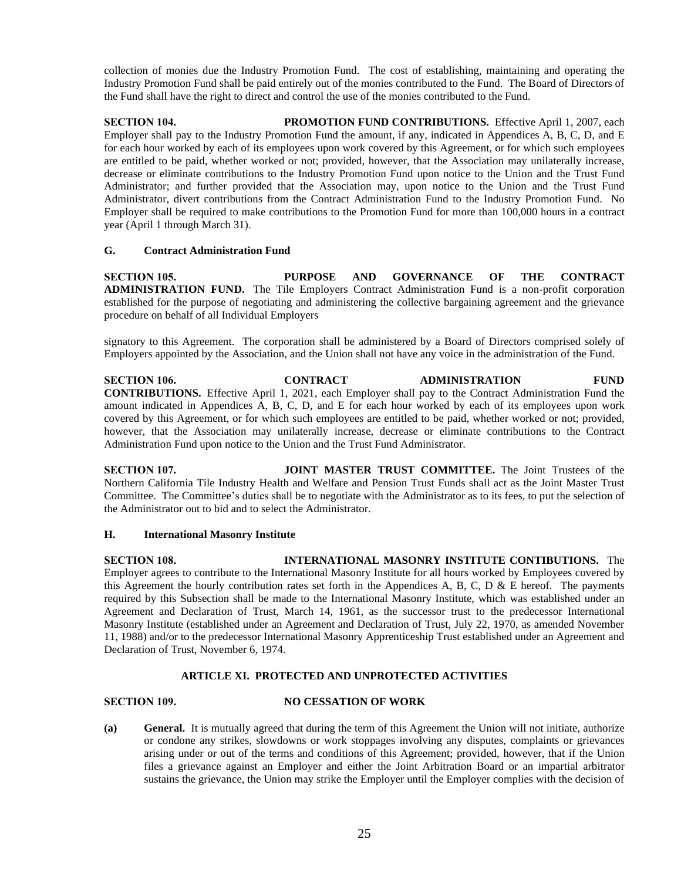collection of monies due the Industry Promotion Fund. The cost of establishing, maintaining and operating the Industry Promotion Fund shall be paid entirely out of the monies contributed to the Fund. The Board of Directors of the Fund shall have the right to direct and control the use of the monies contributed to the Fund.

**SECTION 104. PROMOTION FUND CONTRIBUTIONS.** Effective April 1, 2007, each Employer shall pay to the Industry Promotion Fund the amount, if any, indicated in Appendices A, B, C, D, and E for each hour worked by each of its employees upon work covered by this Agreement, or for which such employees are entitled to be paid, whether worked or not; provided, however, that the Association may unilaterally increase, decrease or eliminate contributions to the Industry Promotion Fund upon notice to the Union and the Trust Fund Administrator; and further provided that the Association may, upon notice to the Union and the Trust Fund Administrator, divert contributions from the Contract Administration Fund to the Industry Promotion Fund. No Employer shall be required to make contributions to the Promotion Fund for more than 100,000 hours in a contract year (April 1 through March 31).

## **G. Contract Administration Fund**

**SECTION 105. PURPOSE AND GOVERNANCE OF THE CONTRACT ADMINISTRATION FUND.** The Tile Employers Contract Administration Fund is a non-profit corporation established for the purpose of negotiating and administering the collective bargaining agreement and the grievance procedure on behalf of all Individual Employers

signatory to this Agreement. The corporation shall be administered by a Board of Directors comprised solely of Employers appointed by the Association, and the Union shall not have any voice in the administration of the Fund.

**SECTION 106. CONTRACT ADMINISTRATION FUND CONTRIBUTIONS.** Effective April 1, 2021, each Employer shall pay to the Contract Administration Fund the amount indicated in Appendices A, B, C, D, and E for each hour worked by each of its employees upon work covered by this Agreement, or for which such employees are entitled to be paid, whether worked or not; provided, however, that the Association may unilaterally increase, decrease or eliminate contributions to the Contract Administration Fund upon notice to the Union and the Trust Fund Administrator.

**SECTION 107. JOINT MASTER TRUST COMMITTEE.** The Joint Trustees of the Northern California Tile Industry Health and Welfare and Pension Trust Funds shall act as the Joint Master Trust Committee. The Committee's duties shall be to negotiate with the Administrator as to its fees, to put the selection of the Administrator out to bid and to select the Administrator.

## **H. International Masonry Institute**

**SECTION 108. INTERNATIONAL MASONRY INSTITUTE CONTIBUTIONS.** The Employer agrees to contribute to the International Masonry Institute for all hours worked by Employees covered by this Agreement the hourly contribution rates set forth in the Appendices A, B, C, D  $\&$  E hereof. The payments required by this Subsection shall be made to the International Masonry Institute, which was established under an Agreement and Declaration of Trust, March 14, 1961, as the successor trust to the predecessor International Masonry Institute (established under an Agreement and Declaration of Trust, July 22, 1970, as amended November 11, 1988) and/or to the predecessor International Masonry Apprenticeship Trust established under an Agreement and Declaration of Trust, November 6, 1974.

## **ARTICLE XI. PROTECTED AND UNPROTECTED ACTIVITIES**

## **SECTION 109. NO CESSATION OF WORK**

**(a) General.** It is mutually agreed that during the term of this Agreement the Union will not initiate, authorize or condone any strikes, slowdowns or work stoppages involving any disputes, complaints or grievances arising under or out of the terms and conditions of this Agreement; provided, however, that if the Union files a grievance against an Employer and either the Joint Arbitration Board or an impartial arbitrator sustains the grievance, the Union may strike the Employer until the Employer complies with the decision of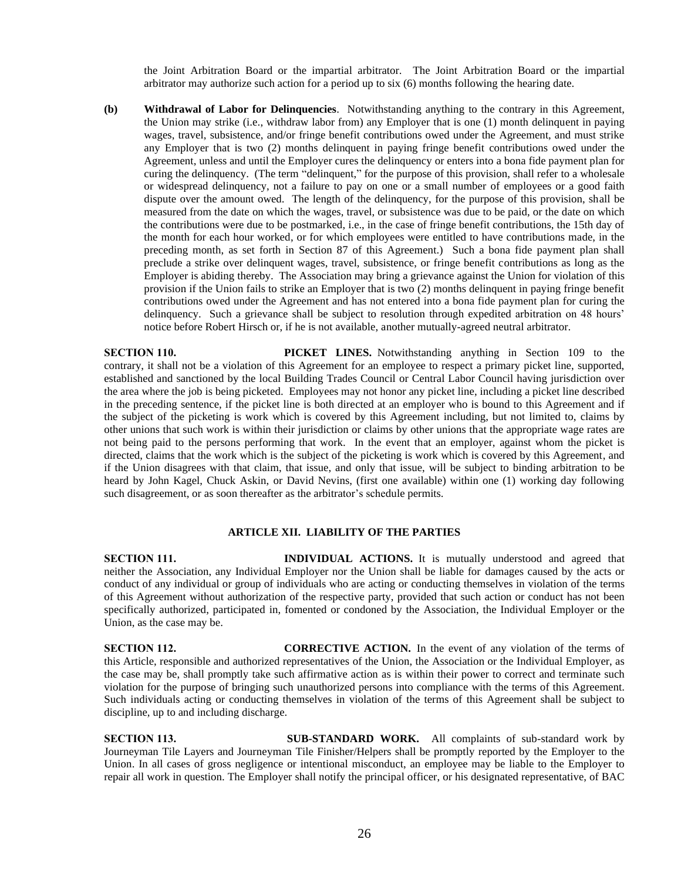the Joint Arbitration Board or the impartial arbitrator. The Joint Arbitration Board or the impartial arbitrator may authorize such action for a period up to six (6) months following the hearing date.

**(b) Withdrawal of Labor for Delinquencies**. Notwithstanding anything to the contrary in this Agreement, the Union may strike (i.e., withdraw labor from) any Employer that is one (1) month delinquent in paying wages, travel, subsistence, and/or fringe benefit contributions owed under the Agreement, and must strike any Employer that is two (2) months delinquent in paying fringe benefit contributions owed under the Agreement, unless and until the Employer cures the delinquency or enters into a bona fide payment plan for curing the delinquency. (The term "delinquent," for the purpose of this provision, shall refer to a wholesale or widespread delinquency, not a failure to pay on one or a small number of employees or a good faith dispute over the amount owed. The length of the delinquency, for the purpose of this provision, shall be measured from the date on which the wages, travel, or subsistence was due to be paid, or the date on which the contributions were due to be postmarked, i.e., in the case of fringe benefit contributions, the 15th day of the month for each hour worked, or for which employees were entitled to have contributions made, in the preceding month, as set forth in Section 87 of this Agreement.) Such a bona fide payment plan shall preclude a strike over delinquent wages, travel, subsistence, or fringe benefit contributions as long as the Employer is abiding thereby. The Association may bring a grievance against the Union for violation of this provision if the Union fails to strike an Employer that is two (2) months delinquent in paying fringe benefit contributions owed under the Agreement and has not entered into a bona fide payment plan for curing the delinquency. Such a grievance shall be subject to resolution through expedited arbitration on 48 hours' notice before Robert Hirsch or, if he is not available, another mutually-agreed neutral arbitrator.

**SECTION 110. PICKET LINES.** Notwithstanding anything in Section 109 to the contrary, it shall not be a violation of this Agreement for an employee to respect a primary picket line, supported, established and sanctioned by the local Building Trades Council or Central Labor Council having jurisdiction over the area where the job is being picketed. Employees may not honor any picket line, including a picket line described in the preceding sentence, if the picket line is both directed at an employer who is bound to this Agreement and if the subject of the picketing is work which is covered by this Agreement including, but not limited to, claims by other unions that such work is within their jurisdiction or claims by other unions that the appropriate wage rates are not being paid to the persons performing that work. In the event that an employer, against whom the picket is directed, claims that the work which is the subject of the picketing is work which is covered by this Agreement, and if the Union disagrees with that claim, that issue, and only that issue, will be subject to binding arbitration to be heard by John Kagel, Chuck Askin, or David Nevins, (first one available) within one (1) working day following such disagreement, or as soon thereafter as the arbitrator's schedule permits.

## **ARTICLE XII. LIABILITY OF THE PARTIES**

**SECTION 111. INDIVIDUAL ACTIONS.** It is mutually understood and agreed that neither the Association, any Individual Employer nor the Union shall be liable for damages caused by the acts or conduct of any individual or group of individuals who are acting or conducting themselves in violation of the terms of this Agreement without authorization of the respective party, provided that such action or conduct has not been specifically authorized, participated in, fomented or condoned by the Association, the Individual Employer or the Union, as the case may be.

**SECTION 112. CORRECTIVE ACTION.** In the event of any violation of the terms of this Article, responsible and authorized representatives of the Union, the Association or the Individual Employer, as the case may be, shall promptly take such affirmative action as is within their power to correct and terminate such violation for the purpose of bringing such unauthorized persons into compliance with the terms of this Agreement. Such individuals acting or conducting themselves in violation of the terms of this Agreement shall be subject to discipline, up to and including discharge.

**SECTION 113. SUB-STANDARD WORK.** All complaints of sub-standard work by Journeyman Tile Layers and Journeyman Tile Finisher/Helpers shall be promptly reported by the Employer to the Union. In all cases of gross negligence or intentional misconduct, an employee may be liable to the Employer to repair all work in question. The Employer shall notify the principal officer, or his designated representative, of BAC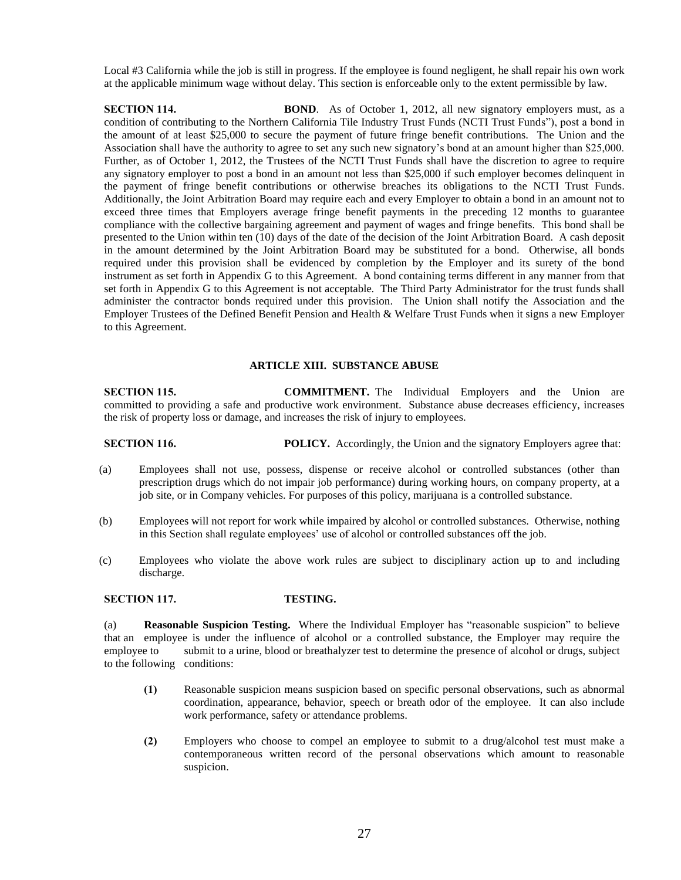Local #3 California while the job is still in progress. If the employee is found negligent, he shall repair his own work at the applicable minimum wage without delay. This section is enforceable only to the extent permissible by law.

**SECTION 114. BOND**. As of October 1, 2012, all new signatory employers must, as a condition of contributing to the Northern California Tile Industry Trust Funds (NCTI Trust Funds"), post a bond in the amount of at least \$25,000 to secure the payment of future fringe benefit contributions. The Union and the Association shall have the authority to agree to set any such new signatory's bond at an amount higher than \$25,000. Further, as of October 1, 2012, the Trustees of the NCTI Trust Funds shall have the discretion to agree to require any signatory employer to post a bond in an amount not less than \$25,000 if such employer becomes delinquent in the payment of fringe benefit contributions or otherwise breaches its obligations to the NCTI Trust Funds. Additionally, the Joint Arbitration Board may require each and every Employer to obtain a bond in an amount not to exceed three times that Employers average fringe benefit payments in the preceding 12 months to guarantee compliance with the collective bargaining agreement and payment of wages and fringe benefits. This bond shall be presented to the Union within ten (10) days of the date of the decision of the Joint Arbitration Board. A cash deposit in the amount determined by the Joint Arbitration Board may be substituted for a bond. Otherwise, all bonds required under this provision shall be evidenced by completion by the Employer and its surety of the bond instrument as set forth in Appendix G to this Agreement. A bond containing terms different in any manner from that set forth in Appendix G to this Agreement is not acceptable. The Third Party Administrator for the trust funds shall administer the contractor bonds required under this provision. The Union shall notify the Association and the Employer Trustees of the Defined Benefit Pension and Health & Welfare Trust Funds when it signs a new Employer to this Agreement.

## **ARTICLE XIII. SUBSTANCE ABUSE**

**SECTION 115. COMMITMENT.** The Individual Employers and the Union are committed to providing a safe and productive work environment. Substance abuse decreases efficiency, increases the risk of property loss or damage, and increases the risk of injury to employees.

**SECTION 116. POLICY.** Accordingly, the Union and the signatory Employers agree that:

- (a) Employees shall not use, possess, dispense or receive alcohol or controlled substances (other than prescription drugs which do not impair job performance) during working hours, on company property, at a job site, or in Company vehicles. For purposes of this policy, marijuana is a controlled substance.
- (b) Employees will not report for work while impaired by alcohol or controlled substances. Otherwise, nothing in this Section shall regulate employees' use of alcohol or controlled substances off the job.
- (c) Employees who violate the above work rules are subject to disciplinary action up to and including discharge.

### **SECTION 117. TESTING.**

(a) **Reasonable Suspicion Testing.** Where the Individual Employer has "reasonable suspicion" to believe that an employee is under the influence of alcohol or a controlled substance, the Employer may require the employee to submit to a urine, blood or breathalyzer test to determine the presence of alcohol or drugs, subject to the following conditions:

- **(1)** Reasonable suspicion means suspicion based on specific personal observations, such as abnormal coordination, appearance, behavior, speech or breath odor of the employee. It can also include work performance, safety or attendance problems.
- **(2)** Employers who choose to compel an employee to submit to a drug/alcohol test must make a contemporaneous written record of the personal observations which amount to reasonable suspicion.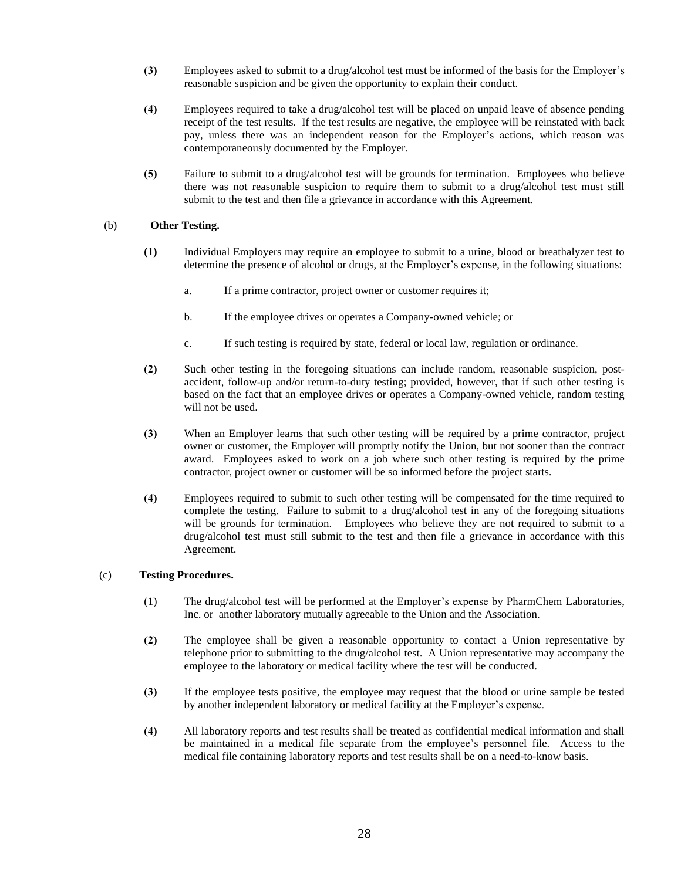- **(3)** Employees asked to submit to a drug/alcohol test must be informed of the basis for the Employer's reasonable suspicion and be given the opportunity to explain their conduct.
- **(4)** Employees required to take a drug/alcohol test will be placed on unpaid leave of absence pending receipt of the test results. If the test results are negative, the employee will be reinstated with back pay, unless there was an independent reason for the Employer's actions, which reason was contemporaneously documented by the Employer.
- **(5)** Failure to submit to a drug/alcohol test will be grounds for termination. Employees who believe there was not reasonable suspicion to require them to submit to a drug/alcohol test must still submit to the test and then file a grievance in accordance with this Agreement.

## (b) **Other Testing.**

- **(1)** Individual Employers may require an employee to submit to a urine, blood or breathalyzer test to determine the presence of alcohol or drugs, at the Employer's expense, in the following situations:
	- a. If a prime contractor, project owner or customer requires it;
	- b. If the employee drives or operates a Company-owned vehicle; or
	- c. If such testing is required by state, federal or local law, regulation or ordinance.
- **(2)** Such other testing in the foregoing situations can include random, reasonable suspicion, postaccident, follow-up and/or return-to-duty testing; provided, however, that if such other testing is based on the fact that an employee drives or operates a Company-owned vehicle, random testing will not be used.
- **(3)** When an Employer learns that such other testing will be required by a prime contractor, project owner or customer, the Employer will promptly notify the Union, but not sooner than the contract award. Employees asked to work on a job where such other testing is required by the prime contractor, project owner or customer will be so informed before the project starts.
- **(4)** Employees required to submit to such other testing will be compensated for the time required to complete the testing. Failure to submit to a drug/alcohol test in any of the foregoing situations will be grounds for termination. Employees who believe they are not required to submit to a drug/alcohol test must still submit to the test and then file a grievance in accordance with this Agreement.

## (c) **Testing Procedures.**

- (1) The drug/alcohol test will be performed at the Employer's expense by PharmChem Laboratories, Inc. or another laboratory mutually agreeable to the Union and the Association.
- **(2)** The employee shall be given a reasonable opportunity to contact a Union representative by telephone prior to submitting to the drug/alcohol test. A Union representative may accompany the employee to the laboratory or medical facility where the test will be conducted.
- **(3)** If the employee tests positive, the employee may request that the blood or urine sample be tested by another independent laboratory or medical facility at the Employer's expense.
- **(4)** All laboratory reports and test results shall be treated as confidential medical information and shall be maintained in a medical file separate from the employee's personnel file. Access to the medical file containing laboratory reports and test results shall be on a need-to-know basis.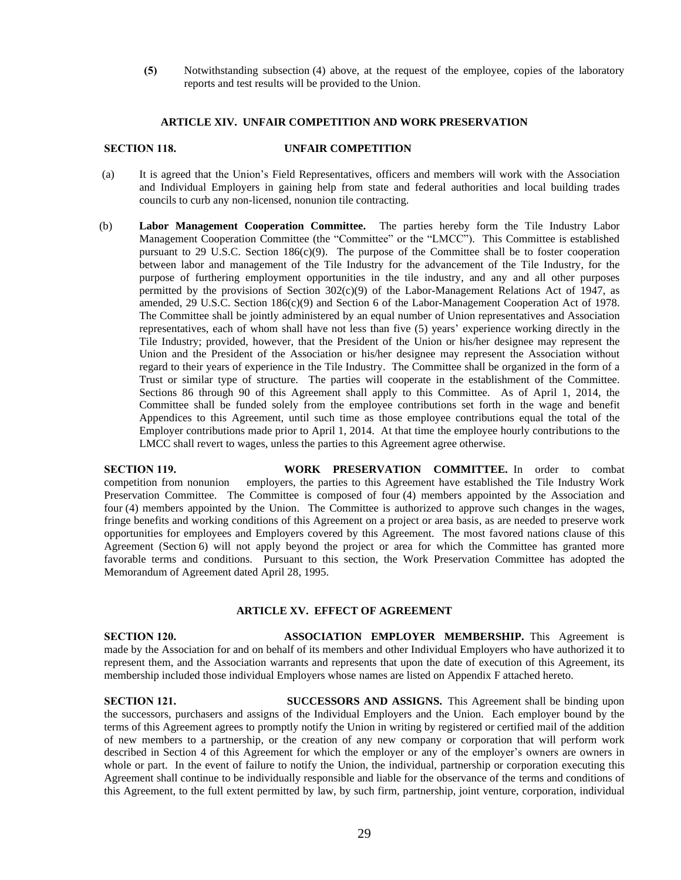**(5)** Notwithstanding subsection (4) above, at the request of the employee, copies of the laboratory reports and test results will be provided to the Union.

## **ARTICLE XIV. UNFAIR COMPETITION AND WORK PRESERVATION**

## **SECTION 118. UNFAIR COMPETITION**

- (a) It is agreed that the Union's Field Representatives, officers and members will work with the Association and Individual Employers in gaining help from state and federal authorities and local building trades councils to curb any non-licensed, nonunion tile contracting.
- (b) **Labor Management Cooperation Committee.** The parties hereby form the Tile Industry Labor Management Cooperation Committee (the "Committee" or the "LMCC"). This Committee is established pursuant to 29 U.S.C. Section 186(c)(9). The purpose of the Committee shall be to foster cooperation between labor and management of the Tile Industry for the advancement of the Tile Industry, for the purpose of furthering employment opportunities in the tile industry, and any and all other purposes permitted by the provisions of Section  $302(c)(9)$  of the Labor-Management Relations Act of 1947, as amended, 29 U.S.C. Section 186(c)(9) and Section 6 of the Labor-Management Cooperation Act of 1978. The Committee shall be jointly administered by an equal number of Union representatives and Association representatives, each of whom shall have not less than five (5) years' experience working directly in the Tile Industry; provided, however, that the President of the Union or his/her designee may represent the Union and the President of the Association or his/her designee may represent the Association without regard to their years of experience in the Tile Industry. The Committee shall be organized in the form of a Trust or similar type of structure. The parties will cooperate in the establishment of the Committee. Sections 86 through 90 of this Agreement shall apply to this Committee. As of April 1, 2014, the Committee shall be funded solely from the employee contributions set forth in the wage and benefit Appendices to this Agreement, until such time as those employee contributions equal the total of the Employer contributions made prior to April 1, 2014. At that time the employee hourly contributions to the LMCC shall revert to wages, unless the parties to this Agreement agree otherwise.

**SECTION 119. WORK PRESERVATION COMMITTEE.** In order to combat competition from nonunion employers, the parties to this Agreement have established the Tile Industry Work Preservation Committee. The Committee is composed of four (4) members appointed by the Association and four (4) members appointed by the Union. The Committee is authorized to approve such changes in the wages, fringe benefits and working conditions of this Agreement on a project or area basis, as are needed to preserve work opportunities for employees and Employers covered by this Agreement. The most favored nations clause of this Agreement (Section 6) will not apply beyond the project or area for which the Committee has granted more favorable terms and conditions. Pursuant to this section, the Work Preservation Committee has adopted the Memorandum of Agreement dated April 28, 1995.

## **ARTICLE XV. EFFECT OF AGREEMENT**

**SECTION 120. ASSOCIATION EMPLOYER MEMBERSHIP.** This Agreement is made by the Association for and on behalf of its members and other Individual Employers who have authorized it to represent them, and the Association warrants and represents that upon the date of execution of this Agreement, its membership included those individual Employers whose names are listed on Appendix F attached hereto.

**SECTION 121. SUCCESSORS AND ASSIGNS.** This Agreement shall be binding upon the successors, purchasers and assigns of the Individual Employers and the Union. Each employer bound by the terms of this Agreement agrees to promptly notify the Union in writing by registered or certified mail of the addition of new members to a partnership, or the creation of any new company or corporation that will perform work described in Section 4 of this Agreement for which the employer or any of the employer's owners are owners in whole or part. In the event of failure to notify the Union, the individual, partnership or corporation executing this Agreement shall continue to be individually responsible and liable for the observance of the terms and conditions of this Agreement, to the full extent permitted by law, by such firm, partnership, joint venture, corporation, individual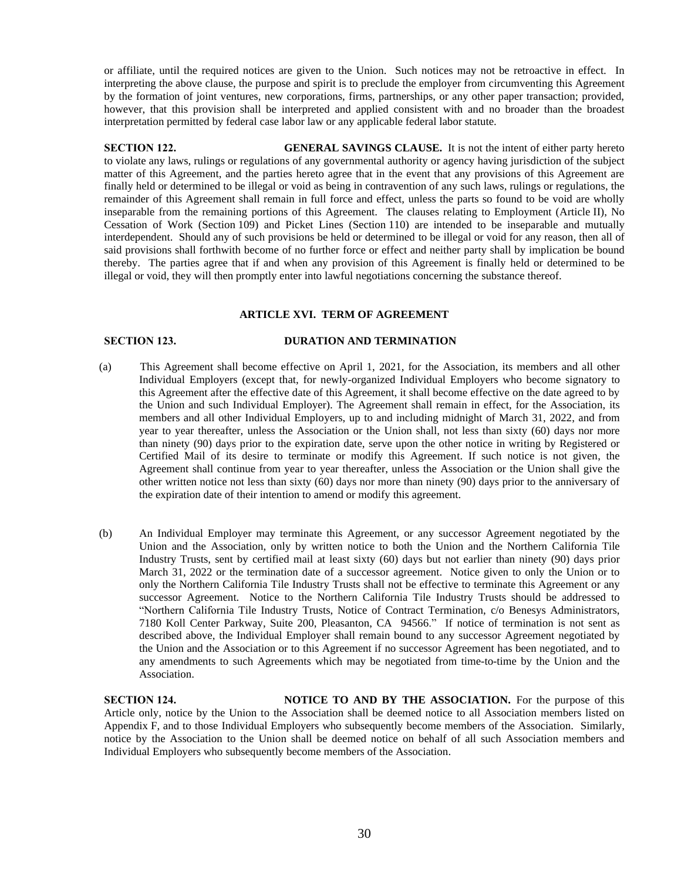or affiliate, until the required notices are given to the Union. Such notices may not be retroactive in effect. In interpreting the above clause, the purpose and spirit is to preclude the employer from circumventing this Agreement by the formation of joint ventures, new corporations, firms, partnerships, or any other paper transaction; provided, however, that this provision shall be interpreted and applied consistent with and no broader than the broadest interpretation permitted by federal case labor law or any applicable federal labor statute.

**SECTION 122. GENERAL SAVINGS CLAUSE.** It is not the intent of either party hereto to violate any laws, rulings or regulations of any governmental authority or agency having jurisdiction of the subject matter of this Agreement, and the parties hereto agree that in the event that any provisions of this Agreement are finally held or determined to be illegal or void as being in contravention of any such laws, rulings or regulations, the remainder of this Agreement shall remain in full force and effect, unless the parts so found to be void are wholly inseparable from the remaining portions of this Agreement. The clauses relating to Employment (Article II), No Cessation of Work (Section 109) and Picket Lines (Section 110) are intended to be inseparable and mutually interdependent. Should any of such provisions be held or determined to be illegal or void for any reason, then all of said provisions shall forthwith become of no further force or effect and neither party shall by implication be bound thereby. The parties agree that if and when any provision of this Agreement is finally held or determined to be illegal or void, they will then promptly enter into lawful negotiations concerning the substance thereof.

## **ARTICLE XVI. TERM OF AGREEMENT**

### **SECTION 123. DURATION AND TERMINATION**

- (a) This Agreement shall become effective on April 1, 2021, for the Association, its members and all other Individual Employers (except that, for newly-organized Individual Employers who become signatory to this Agreement after the effective date of this Agreement, it shall become effective on the date agreed to by the Union and such Individual Employer). The Agreement shall remain in effect, for the Association, its members and all other Individual Employers, up to and including midnight of March 31, 2022, and from year to year thereafter, unless the Association or the Union shall, not less than sixty (60) days nor more than ninety (90) days prior to the expiration date, serve upon the other notice in writing by Registered or Certified Mail of its desire to terminate or modify this Agreement. If such notice is not given, the Agreement shall continue from year to year thereafter, unless the Association or the Union shall give the other written notice not less than sixty (60) days nor more than ninety (90) days prior to the anniversary of the expiration date of their intention to amend or modify this agreement.
- (b) An Individual Employer may terminate this Agreement, or any successor Agreement negotiated by the Union and the Association, only by written notice to both the Union and the Northern California Tile Industry Trusts, sent by certified mail at least sixty (60) days but not earlier than ninety (90) days prior March 31, 2022 or the termination date of a successor agreement. Notice given to only the Union or to only the Northern California Tile Industry Trusts shall not be effective to terminate this Agreement or any successor Agreement. Notice to the Northern California Tile Industry Trusts should be addressed to "Northern California Tile Industry Trusts, Notice of Contract Termination, c/o Benesys Administrators, 7180 Koll Center Parkway, Suite 200, Pleasanton, CA 94566." If notice of termination is not sent as described above, the Individual Employer shall remain bound to any successor Agreement negotiated by the Union and the Association or to this Agreement if no successor Agreement has been negotiated, and to any amendments to such Agreements which may be negotiated from time-to-time by the Union and the Association.

**SECTION 124. NOTICE TO AND BY THE ASSOCIATION.** For the purpose of this Article only, notice by the Union to the Association shall be deemed notice to all Association members listed on Appendix F, and to those Individual Employers who subsequently become members of the Association. Similarly, notice by the Association to the Union shall be deemed notice on behalf of all such Association members and Individual Employers who subsequently become members of the Association.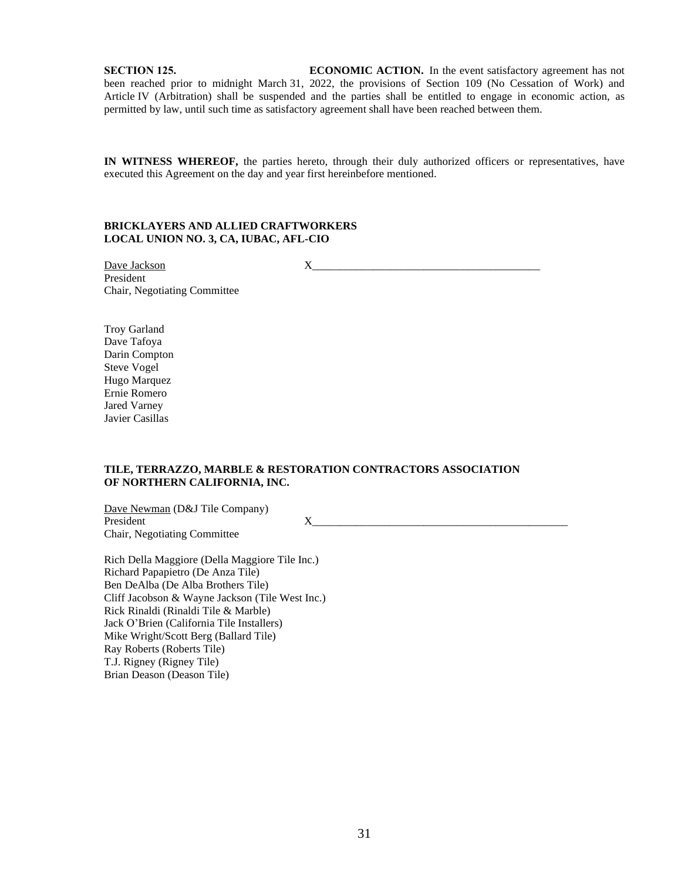**SECTION 125. ECONOMIC ACTION.** In the event satisfactory agreement has not been reached prior to midnight March 31, 2022, the provisions of Section 109 (No Cessation of Work) and Article IV (Arbitration) shall be suspended and the parties shall be entitled to engage in economic action, as permitted by law, until such time as satisfactory agreement shall have been reached between them.

**IN WITNESS WHEREOF,** the parties hereto, through their duly authorized officers or representatives, have executed this Agreement on the day and year first hereinbefore mentioned.

## **BRICKLAYERS AND ALLIED CRAFTWORKERS LOCAL UNION NO. 3, CA, IUBAC, AFL-CIO**

Dave Jackson X\_\_\_\_\_\_\_\_\_\_\_\_\_\_\_\_\_\_\_\_\_\_\_\_\_\_\_\_\_\_\_\_\_\_\_\_\_\_\_\_\_

President Chair, Negotiating Committee

Troy Garland Dave Tafoya Darin Compton Steve Vogel Hugo Marquez Ernie Romero Jared Varney Javier Casillas

## **TILE, TERRAZZO, MARBLE & RESTORATION CONTRACTORS ASSOCIATION OF NORTHERN CALIFORNIA, INC.**

Dave Newman (D&J Tile Company) President X\_\_\_\_\_\_\_\_\_\_\_\_\_\_\_\_\_\_\_\_\_\_\_\_\_\_\_\_\_\_\_\_\_\_\_\_\_\_\_\_\_\_\_\_\_\_ Chair, Negotiating Committee

Rich Della Maggiore (Della Maggiore Tile Inc.) Richard Papapietro (De Anza Tile) Ben DeAlba (De Alba Brothers Tile) Cliff Jacobson & Wayne Jackson (Tile West Inc.) Rick Rinaldi (Rinaldi Tile & Marble) Jack O'Brien (California Tile Installers) Mike Wright/Scott Berg (Ballard Tile) Ray Roberts (Roberts Tile) T.J. Rigney (Rigney Tile) Brian Deason (Deason Tile)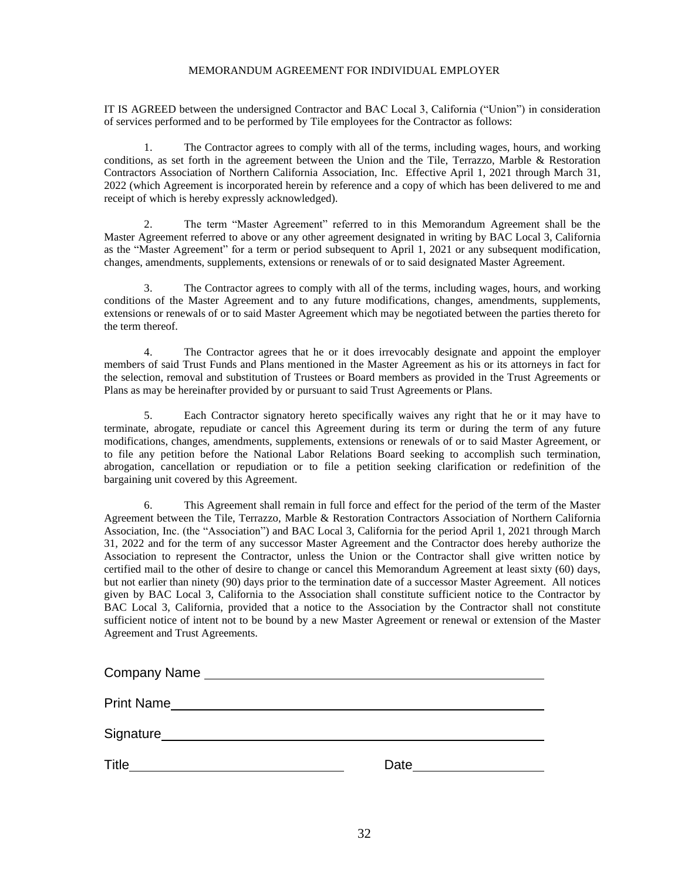## MEMORANDUM AGREEMENT FOR INDIVIDUAL EMPLOYER

IT IS AGREED between the undersigned Contractor and BAC Local 3, California ("Union") in consideration of services performed and to be performed by Tile employees for the Contractor as follows:

1. The Contractor agrees to comply with all of the terms, including wages, hours, and working conditions, as set forth in the agreement between the Union and the Tile, Terrazzo, Marble & Restoration Contractors Association of Northern California Association, Inc. Effective April 1, 2021 through March 31, 2022 (which Agreement is incorporated herein by reference and a copy of which has been delivered to me and receipt of which is hereby expressly acknowledged).

2. The term "Master Agreement" referred to in this Memorandum Agreement shall be the Master Agreement referred to above or any other agreement designated in writing by BAC Local 3, California as the "Master Agreement" for a term or period subsequent to April 1, 2021 or any subsequent modification, changes, amendments, supplements, extensions or renewals of or to said designated Master Agreement.

3. The Contractor agrees to comply with all of the terms, including wages, hours, and working conditions of the Master Agreement and to any future modifications, changes, amendments, supplements, extensions or renewals of or to said Master Agreement which may be negotiated between the parties thereto for the term thereof.

4. The Contractor agrees that he or it does irrevocably designate and appoint the employer members of said Trust Funds and Plans mentioned in the Master Agreement as his or its attorneys in fact for the selection, removal and substitution of Trustees or Board members as provided in the Trust Agreements or Plans as may be hereinafter provided by or pursuant to said Trust Agreements or Plans.

5. Each Contractor signatory hereto specifically waives any right that he or it may have to terminate, abrogate, repudiate or cancel this Agreement during its term or during the term of any future modifications, changes, amendments, supplements, extensions or renewals of or to said Master Agreement, or to file any petition before the National Labor Relations Board seeking to accomplish such termination, abrogation, cancellation or repudiation or to file a petition seeking clarification or redefinition of the bargaining unit covered by this Agreement.

6. This Agreement shall remain in full force and effect for the period of the term of the Master Agreement between the Tile, Terrazzo, Marble & Restoration Contractors Association of Northern California Association, Inc. (the "Association") and BAC Local 3, California for the period April 1, 2021 through March 31, 2022 and for the term of any successor Master Agreement and the Contractor does hereby authorize the Association to represent the Contractor, unless the Union or the Contractor shall give written notice by certified mail to the other of desire to change or cancel this Memorandum Agreement at least sixty (60) days, but not earlier than ninety (90) days prior to the termination date of a successor Master Agreement. All notices given by BAC Local 3, California to the Association shall constitute sufficient notice to the Contractor by BAC Local 3, California, provided that a notice to the Association by the Contractor shall not constitute sufficient notice of intent not to be bound by a new Master Agreement or renewal or extension of the Master Agreement and Trust Agreements.

| <b>Company Name</b> |      |
|---------------------|------|
| <b>Print Name</b>   |      |
| Signature           |      |
| <b>Title</b>        | Date |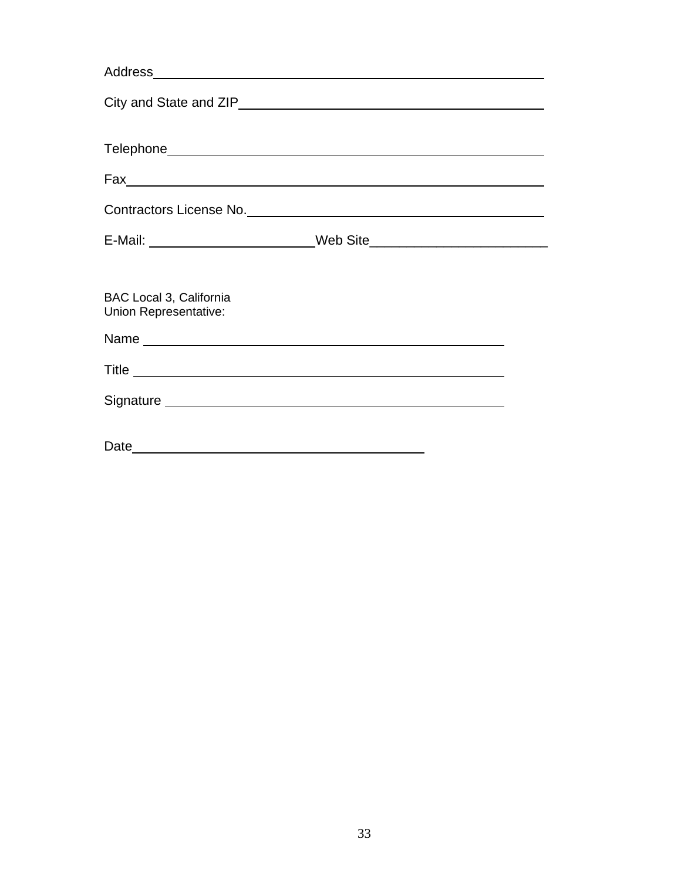| City and State and ZIP                           |  |
|--------------------------------------------------|--|
|                                                  |  |
|                                                  |  |
|                                                  |  |
|                                                  |  |
|                                                  |  |
| BAC Local 3, California<br>Union Representative: |  |
|                                                  |  |
|                                                  |  |
|                                                  |  |
|                                                  |  |
|                                                  |  |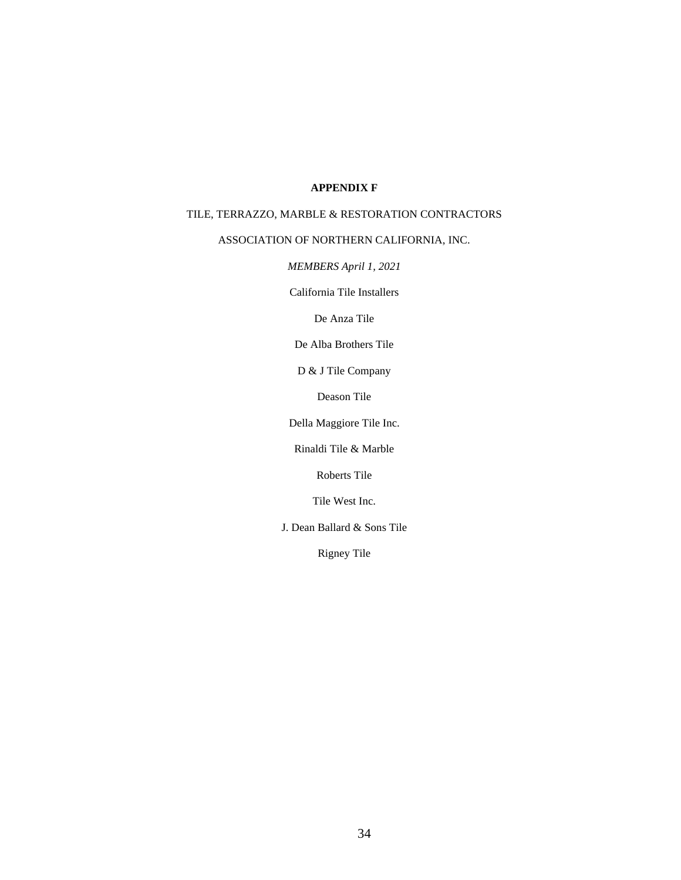## **APPENDIX F**

## TILE, TERRAZZO, MARBLE & RESTORATION CONTRACTORS

## ASSOCIATION OF NORTHERN CALIFORNIA, INC.

*MEMBERS April 1, 2021*

California Tile Installers

De Anza Tile

De Alba Brothers Tile

D & J Tile Company

Deason Tile

Della Maggiore Tile Inc.

Rinaldi Tile & Marble

Roberts Tile

Tile West Inc.

J. Dean Ballard & Sons Tile

Rigney Tile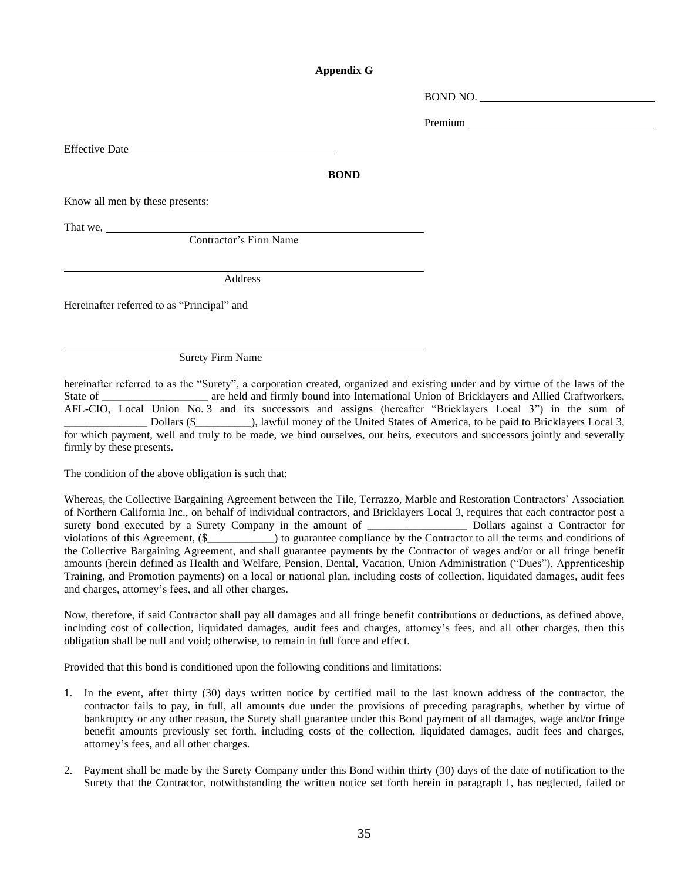## **Appendix G**

BOND NO.

Premium

Effective Date

**BOND**

Know all men by these presents:

That we,  $\frac{1}{\sqrt{1-\frac{1}{2}}\left(1-\frac{1}{2}\right)}$ 

Contractor's Firm Name

Address

Hereinafter referred to as "Principal" and

Surety Firm Name

hereinafter referred to as the "Surety", a corporation created, organized and existing under and by virtue of the laws of the State of **Example 20** are held and firmly bound into International Union of Bricklayers and Allied Craftworkers, AFL-CIO, Local Union No. 3 and its successors and assigns (hereafter "Bricklayers Local 3") in the sum of \_\_\_\_\_\_\_\_\_\_\_\_\_\_\_ Dollars (\$\_\_\_\_\_\_\_\_\_\_), lawful money of the United States of America, to be paid to Bricklayers Local 3, for which payment, well and truly to be made, we bind ourselves, our heirs, executors and successors jointly and severally firmly by these presents.

The condition of the above obligation is such that:

Whereas, the Collective Bargaining Agreement between the Tile, Terrazzo, Marble and Restoration Contractors' Association of Northern California Inc., on behalf of individual contractors, and Bricklayers Local 3, requires that each contractor post a surety bond executed by a Surety Company in the amount of \_\_\_\_\_\_\_\_\_\_\_\_\_\_\_\_\_\_\_\_\_ Dollars against a Contractor for violations of this Agreement, (\$\_\_\_\_\_\_\_\_\_\_\_\_) to guarantee compliance by the Contractor to all the terms and conditions of the Collective Bargaining Agreement, and shall guarantee payments by the Contractor of wages and/or or all fringe benefit amounts (herein defined as Health and Welfare, Pension, Dental, Vacation, Union Administration ("Dues"), Apprenticeship Training, and Promotion payments) on a local or national plan, including costs of collection, liquidated damages, audit fees and charges, attorney's fees, and all other charges.

Now, therefore, if said Contractor shall pay all damages and all fringe benefit contributions or deductions, as defined above, including cost of collection, liquidated damages, audit fees and charges, attorney's fees, and all other charges, then this obligation shall be null and void; otherwise, to remain in full force and effect.

Provided that this bond is conditioned upon the following conditions and limitations:

- 1. In the event, after thirty (30) days written notice by certified mail to the last known address of the contractor, the contractor fails to pay, in full, all amounts due under the provisions of preceding paragraphs, whether by virtue of bankruptcy or any other reason, the Surety shall guarantee under this Bond payment of all damages, wage and/or fringe benefit amounts previously set forth, including costs of the collection, liquidated damages, audit fees and charges, attorney's fees, and all other charges.
- 2. Payment shall be made by the Surety Company under this Bond within thirty (30) days of the date of notification to the Surety that the Contractor, notwithstanding the written notice set forth herein in paragraph 1, has neglected, failed or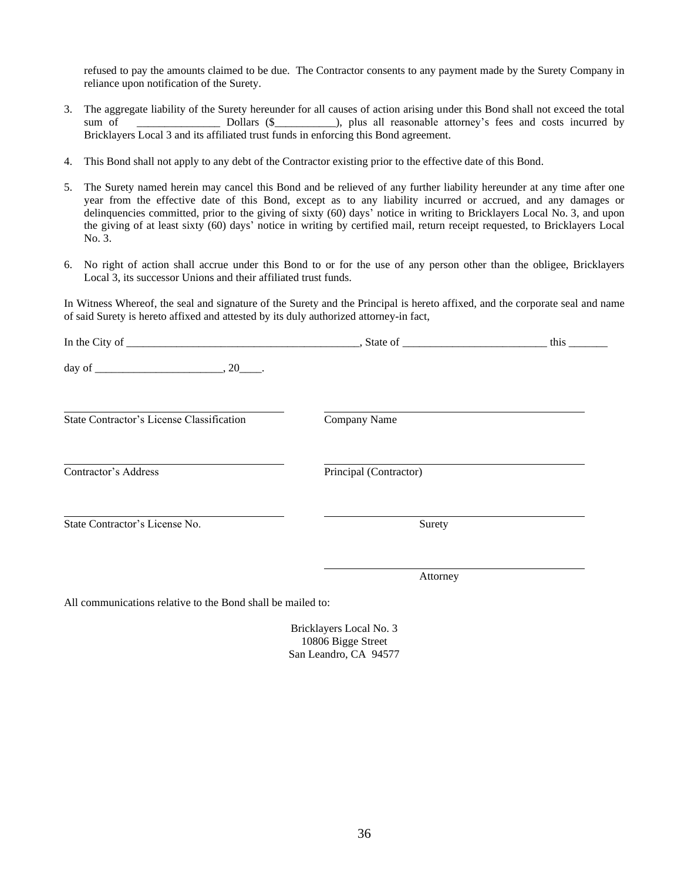refused to pay the amounts claimed to be due. The Contractor consents to any payment made by the Surety Company in reliance upon notification of the Surety.

- 3. The aggregate liability of the Surety hereunder for all causes of action arising under this Bond shall not exceed the total sum of \_\_\_\_\_\_\_\_\_\_\_\_\_\_\_ Dollars (\$\_\_\_\_\_\_\_\_), plus all reasonable attorney's fees and costs incurred by Bricklayers Local 3 and its affiliated trust funds in enforcing this Bond agreement.
- 4. This Bond shall not apply to any debt of the Contractor existing prior to the effective date of this Bond.
- 5. The Surety named herein may cancel this Bond and be relieved of any further liability hereunder at any time after one year from the effective date of this Bond, except as to any liability incurred or accrued, and any damages or delinquencies committed, prior to the giving of sixty (60) days' notice in writing to Bricklayers Local No. 3, and upon the giving of at least sixty (60) days' notice in writing by certified mail, return receipt requested, to Bricklayers Local No. 3.
- 6. No right of action shall accrue under this Bond to or for the use of any person other than the obligee, Bricklayers Local 3, its successor Unions and their affiliated trust funds.

In Witness Whereof, the seal and signature of the Surety and the Principal is hereto affixed, and the corporate seal and name of said Surety is hereto affixed and attested by its duly authorized attorney-in fact,

|                                                  |                        | this $\overline{\phantom{a}}$ |
|--------------------------------------------------|------------------------|-------------------------------|
|                                                  |                        |                               |
| <b>State Contractor's License Classification</b> | Company Name           |                               |
| Contractor's Address                             | Principal (Contractor) |                               |
| State Contractor's License No.                   | Surety                 |                               |
|                                                  | Attorney               |                               |

All communications relative to the Bond shall be mailed to:

Bricklayers Local No. 3 10806 Bigge Street San Leandro, CA 94577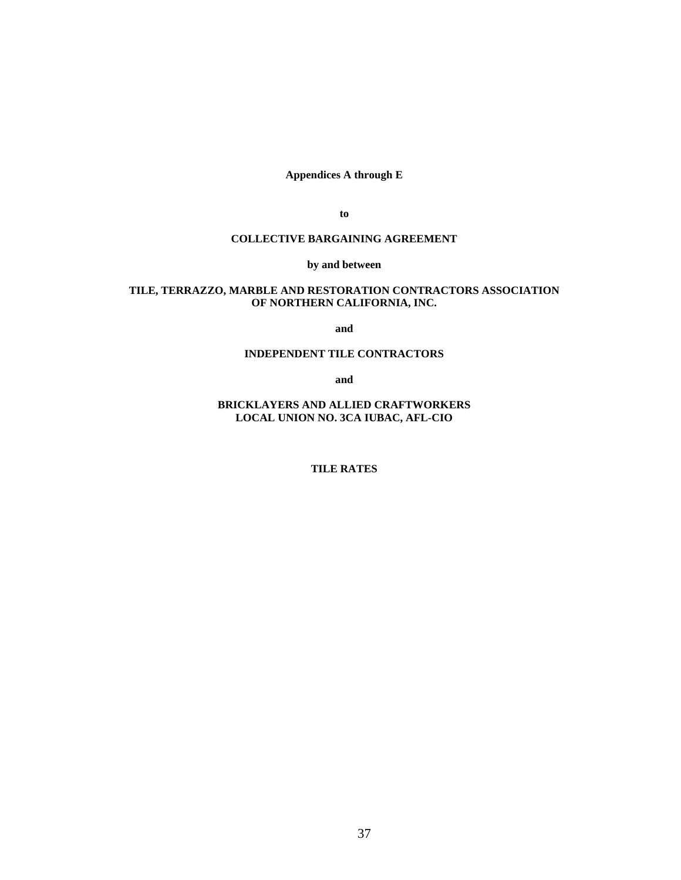**Appendices A through E**

**to** 

## **COLLECTIVE BARGAINING AGREEMENT**

**by and between**

## **TILE, TERRAZZO, MARBLE AND RESTORATION CONTRACTORS ASSOCIATION OF NORTHERN CALIFORNIA, INC.**

**and**

## **INDEPENDENT TILE CONTRACTORS**

**and**

**BRICKLAYERS AND ALLIED CRAFTWORKERS LOCAL UNION NO. 3CA IUBAC, AFL-CIO**

**TILE RATES**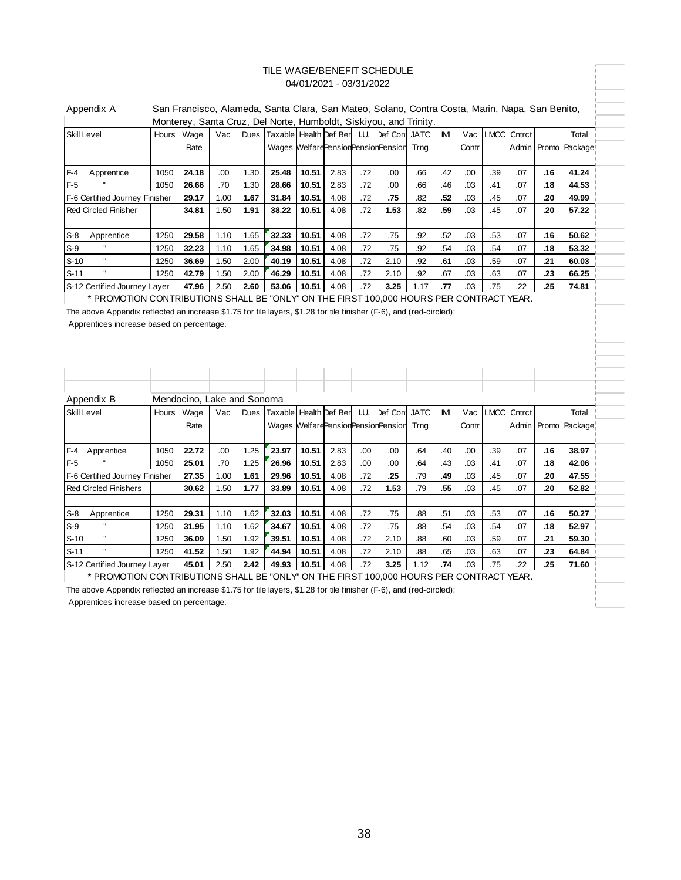## TILE WAGE/BENEFIT SCHEDULE 04/01/2021 - 03/31/2022

| Appendix A                                                                                                          |       |                            |      |      | San Francisco, Alameda, Santa Clara, San Mateo, Solano, Contra Costa, Marin, Napa, San Benito, |       |      |      |                                       |             |            |       |             |        |     |                     |  |
|---------------------------------------------------------------------------------------------------------------------|-------|----------------------------|------|------|------------------------------------------------------------------------------------------------|-------|------|------|---------------------------------------|-------------|------------|-------|-------------|--------|-----|---------------------|--|
|                                                                                                                     |       |                            |      |      | Monterey, Santa Cruz, Del Norte, Humboldt, Siskiyou, and Trinity.                              |       |      |      |                                       |             |            |       |             |        |     |                     |  |
| <b>Skill Level</b>                                                                                                  | Hours | Wage                       | Vac  |      | Dues Taxable Health Def Ber I.U.                                                               |       |      |      | Def Cont JATC                         |             | <b>IMI</b> |       | Vac LMCC    | Cntrct |     | Total               |  |
|                                                                                                                     |       | Rate                       |      |      |                                                                                                |       |      |      | Wages Welfare Pension Pension Pension | Trng        |            | Contr |             |        |     | Admin Promo Package |  |
|                                                                                                                     |       |                            |      |      |                                                                                                |       |      |      |                                       |             |            |       |             |        |     |                     |  |
| $F-4$<br>Apprentice                                                                                                 | 1050  | 24.18                      | .00  | 1.30 | 25.48                                                                                          | 10.51 | 2.83 | .72  | .00                                   | .66         | .42        | .00   | .39         | .07    | .16 | 41.24               |  |
| $F-5$                                                                                                               | 1050  | 26.66                      | .70  | 1.30 | 28.66                                                                                          | 10.51 | 2.83 | .72  | .00                                   | .66         | .46        | .03   | .41         | .07    | .18 | 44.53               |  |
| F-6 Certified Journey Finisher                                                                                      |       | 29.17                      | 1.00 | 1.67 | 31.84                                                                                          | 10.51 | 4.08 | .72  | .75                                   | .82         | .52        | .03   | .45         | .07    | .20 | 49.99               |  |
| <b>Red Circled Finisher</b>                                                                                         |       | 34.81                      | 1.50 | 1.91 | 38.22                                                                                          | 10.51 | 4.08 | .72  | 1.53                                  | .82         | .59        | .03   | .45         | .07    | .20 | 57.22               |  |
|                                                                                                                     |       |                            |      |      |                                                                                                |       |      |      |                                       |             |            |       |             |        |     |                     |  |
| $S-8$<br>Apprentice                                                                                                 | 1250  | 29.58                      | 1.10 | 1.65 | 32.33                                                                                          | 10.51 | 4.08 | .72  | .75                                   | .92         | .52        | .03   | .53         | .07    | .16 | 50.62               |  |
| $S-9$                                                                                                               | 1250  | 32.23                      | 1.10 | 1.65 | 34.98                                                                                          | 10.51 | 4.08 | .72  | .75                                   | .92         | .54        | .03   | .54         | .07    | .18 | 53.32               |  |
| $\blacksquare$<br>$S-10$                                                                                            | 1250  | 36.69                      | 1.50 | 2.00 | 40.19                                                                                          | 10.51 | 4.08 | .72  | 2.10                                  | .92         | .61        | .03   | .59         | .07    | .21 | 60.03               |  |
| $S-11$                                                                                                              | 1250  | 42.79                      | 1.50 | 2.00 | 46.29                                                                                          | 10.51 | 4.08 | .72  | 2.10                                  | .92         | .67        | .03   | .63         | .07    | .23 | 66.25               |  |
| S-12 Certified Journey Layer                                                                                        |       | 47.96                      | 2.50 | 2.60 | 53.06                                                                                          | 10.51 | 4.08 | .72  | 3.25                                  | 1.17        | .77        | .03   | .75         | .22    | .25 | 74.81               |  |
| * PROMOTION CONTRIBUTIONS SHALL BE "ONLY" ON THE FIRST 100,000 HOURS PER CONTRACT YEAR.                             |       |                            |      |      |                                                                                                |       |      |      |                                       |             |            |       |             |        |     |                     |  |
| The above Appendix reflected an increase \$1.75 for tile layers, \$1.28 for tile finisher (F-6), and (red-circled); |       |                            |      |      |                                                                                                |       |      |      |                                       |             |            |       |             |        |     |                     |  |
| Apprentices increase based on percentage.                                                                           |       |                            |      |      |                                                                                                |       |      |      |                                       |             |            |       |             |        |     |                     |  |
|                                                                                                                     |       |                            |      |      |                                                                                                |       |      |      |                                       |             |            |       |             |        |     |                     |  |
|                                                                                                                     |       |                            |      |      |                                                                                                |       |      |      |                                       |             |            |       |             |        |     |                     |  |
|                                                                                                                     |       |                            |      |      |                                                                                                |       |      |      |                                       |             |            |       |             |        |     |                     |  |
|                                                                                                                     |       |                            |      |      |                                                                                                |       |      |      |                                       |             |            |       |             |        |     |                     |  |
|                                                                                                                     |       |                            |      |      |                                                                                                |       |      |      |                                       |             |            |       |             |        |     |                     |  |
| Appendix B                                                                                                          |       | Mendocino, Lake and Sonoma |      |      |                                                                                                |       |      |      |                                       |             |            |       |             |        |     |                     |  |
| <b>Skill Level</b>                                                                                                  | Hours | Wage                       | Vac  |      | Dues Taxable Health Def Ber                                                                    |       |      | I.U. | Def Cont                              | <b>JATC</b> | IMI        | Vac   | <b>LMCC</b> | Cntrct |     | Total               |  |
|                                                                                                                     |       | Rate                       |      |      | Wages Welfare Pension Pension Pension                                                          |       |      |      |                                       | Trng        |            | Contr |             |        |     | Admin Promo Package |  |
|                                                                                                                     |       |                            |      |      |                                                                                                |       |      |      |                                       |             |            |       |             |        |     |                     |  |
| $F-4$<br>Apprentice                                                                                                 | 1050  | 22.72                      | .00  | 1.25 | 23.97                                                                                          | 10.51 | 2.83 | .00  | .00                                   | .64         | .40        | .00   | .39         | .07    | .16 | 38.97               |  |
| $F-5$                                                                                                               | 1050  | 25.01                      | .70  | 1.25 | 26.96                                                                                          | 10.51 | 2.83 | .00  | .00                                   | .64         | .43        | .03   | .41         | .07    | .18 | 42.06               |  |
| F-6 Certified Journey Finisher                                                                                      |       | 27.35                      | 1.00 | 1.61 | 29.96                                                                                          | 10.51 | 4.08 | .72  | .25                                   | .79         | .49        | .03   | .45         | .07    | .20 | 47.55               |  |
| <b>Red Circled Finishers</b>                                                                                        |       | 30.62                      | 1.50 | 1.77 | 33.89                                                                                          | 10.51 | 4.08 | .72  | 1.53                                  | .79         | .55        | .03   | .45         | .07    | .20 | 52.82               |  |
|                                                                                                                     |       |                            |      |      |                                                                                                |       |      |      |                                       |             |            |       |             |        |     |                     |  |
| $S-8$<br>Apprentice                                                                                                 | 1250  | 29.31                      | 1.10 | 1.62 | 32.03                                                                                          | 10.51 | 4.08 | .72  | .75                                   | .88         | .51        | .03   | .53         | .07    | .16 | 50.27               |  |
| $S-9$                                                                                                               | 1250  | 31.95                      | 1.10 | 1.62 | 34.67                                                                                          | 10.51 | 4.08 | .72  | .75                                   | .88         | .54        | .03   | .54         | .07    | .18 | 52.97               |  |
|                                                                                                                     |       |                            |      |      |                                                                                                |       |      |      |                                       |             |            |       |             |        |     |                     |  |

S-12 Certified Journey Layer **45.01** 2.50 **2.42 49.93 10.51** 4.08 .72 **3.25** 1.12 **.74** .03 .75 .22 **.25 71.60** \* PROMOTION CONTRIBUTIONS SHALL BE "ONLY" ON THE FIRST 100,000 HOURS PER CONTRACT YEAR.

S-10 " 1250 **36.09** 1.50 1.92 **39.51 10.51** 4.08 .72 2.10 .88 .60 .03 .59 .07 **.21 59.30** S-11 " 1250 **41.52** 1.50 1.92 **44.94 10.51** 4.08 .72 2.10 .88 .65 .03 .63 .07 **.23 64.84**

The above Appendix reflected an increase \$1.75 for tile layers, \$1.28 for tile finisher (F-6), and (red-circled); Apprentices increase based on percentage.